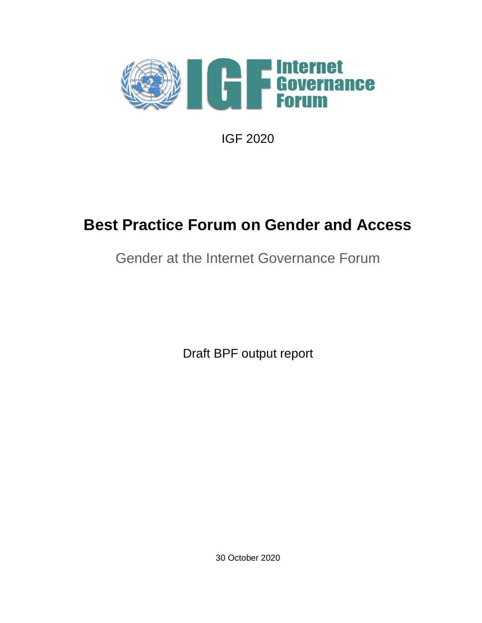

IGF 2020

## **Best Practice Forum on Gender and Access**

## Gender at the Internet Governance Forum

Draft BPF output report

30 October 2020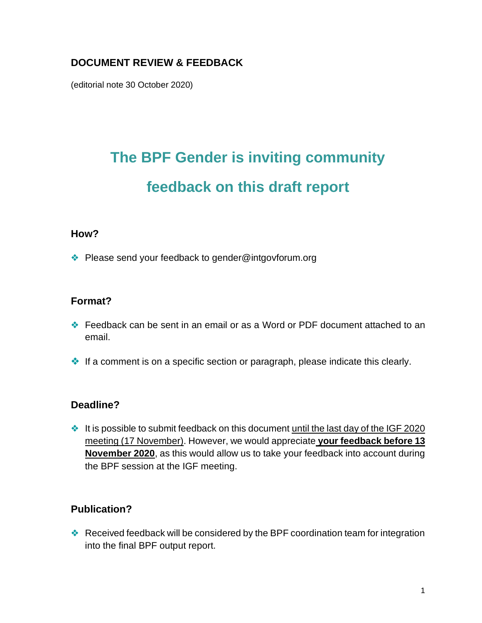### **DOCUMENT REVIEW & FEEDBACK**

(editorial note 30 October 2020)

# **The BPF Gender is inviting community feedback on this draft report**

#### **How?**

❖ Please send your feedback to gender@intgovforum.org

#### **Format?**

- ❖ Feedback can be sent in an email or as a Word or PDF document attached to an email.
- ❖ If a comment is on a specific section or paragraph, please indicate this clearly.

#### **Deadline?**

❖ It is possible to submit feedback on this document until the last day of the IGF 2020 meeting (17 November). However, we would appreciate **your feedback before 13 November 2020**, as this would allow us to take your feedback into account during the BPF session at the IGF meeting.

#### **Publication?**

❖ Received feedback will be considered by the BPF coordination team for integration into the final BPF output report.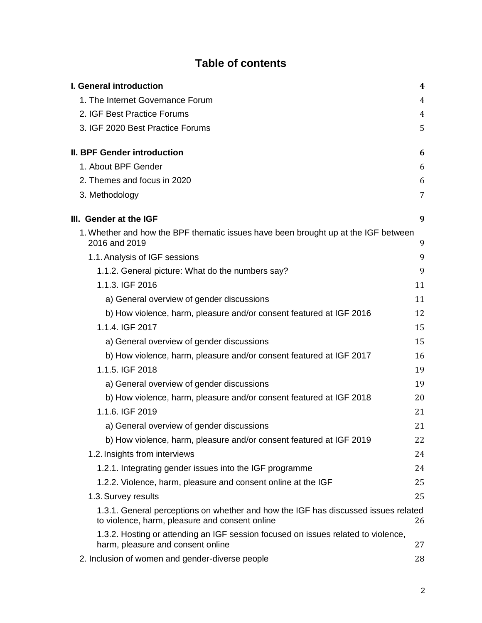### **Table of contents**

| I. General introduction                                                                                                              | 4  |
|--------------------------------------------------------------------------------------------------------------------------------------|----|
| 1. The Internet Governance Forum                                                                                                     | 4  |
| 2. IGF Best Practice Forums                                                                                                          | 4  |
| 3. IGF 2020 Best Practice Forums                                                                                                     | 5  |
| <b>II. BPF Gender introduction</b>                                                                                                   | 6  |
| 1. About BPF Gender                                                                                                                  | 6  |
| 2. Themes and focus in 2020                                                                                                          | 6  |
| 3. Methodology                                                                                                                       | 7  |
| III. Gender at the IGF                                                                                                               | 9  |
| 1. Whether and how the BPF thematic issues have been brought up at the IGF between<br>2016 and 2019                                  | 9  |
| 1.1. Analysis of IGF sessions                                                                                                        | 9  |
| 1.1.2. General picture: What do the numbers say?                                                                                     | 9  |
| 1.1.3. IGF 2016                                                                                                                      | 11 |
| a) General overview of gender discussions                                                                                            | 11 |
| b) How violence, harm, pleasure and/or consent featured at IGF 2016                                                                  | 12 |
| 1.1.4. IGF 2017                                                                                                                      | 15 |
| a) General overview of gender discussions                                                                                            | 15 |
| b) How violence, harm, pleasure and/or consent featured at IGF 2017                                                                  | 16 |
| 1.1.5. IGF 2018                                                                                                                      | 19 |
| a) General overview of gender discussions                                                                                            | 19 |
| b) How violence, harm, pleasure and/or consent featured at IGF 2018                                                                  | 20 |
| 1.1.6. IGF 2019                                                                                                                      | 21 |
| a) General overview of gender discussions                                                                                            | 21 |
| b) How violence, harm, pleasure and/or consent featured at IGF 2019                                                                  | 22 |
| 1.2. Insights from interviews                                                                                                        | 24 |
| 1.2.1. Integrating gender issues into the IGF programme                                                                              | 24 |
| 1.2.2. Violence, harm, pleasure and consent online at the IGF                                                                        | 25 |
| 1.3. Survey results                                                                                                                  | 25 |
| 1.3.1. General perceptions on whether and how the IGF has discussed issues related<br>to violence, harm, pleasure and consent online | 26 |
| 1.3.2. Hosting or attending an IGF session focused on issues related to violence,<br>harm, pleasure and consent online               | 27 |
| 2. Inclusion of women and gender-diverse people                                                                                      | 28 |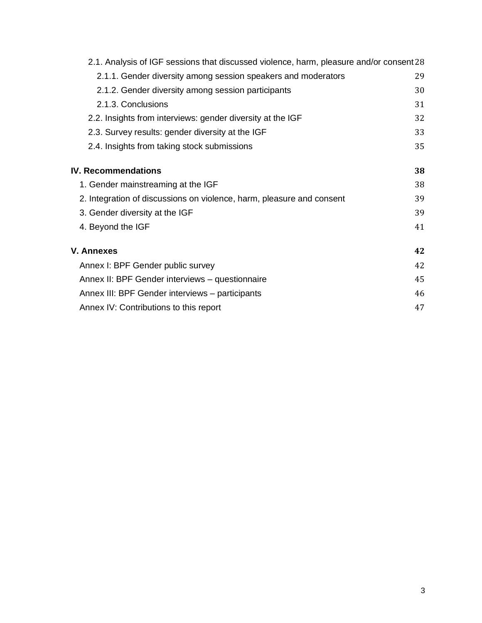| 2.1. Analysis of IGF sessions that discussed violence, harm, pleasure and/or consent 28 |    |
|-----------------------------------------------------------------------------------------|----|
| 2.1.1. Gender diversity among session speakers and moderators                           | 29 |
| 2.1.2. Gender diversity among session participants                                      | 30 |
| 2.1.3. Conclusions                                                                      | 31 |
| 2.2. Insights from interviews: gender diversity at the IGF                              | 32 |
| 2.3. Survey results: gender diversity at the IGF                                        | 33 |
| 2.4. Insights from taking stock submissions                                             | 35 |
| <b>IV. Recommendations</b>                                                              | 38 |
| 1. Gender mainstreaming at the IGF                                                      | 38 |
| 2. Integration of discussions on violence, harm, pleasure and consent                   | 39 |
| 3. Gender diversity at the IGF                                                          | 39 |
| 4. Beyond the IGF                                                                       | 41 |
| V. Annexes                                                                              | 42 |
| Annex I: BPF Gender public survey                                                       | 42 |
| Annex II: BPF Gender interviews - questionnaire                                         | 45 |
| Annex III: BPF Gender interviews - participants                                         | 46 |
| Annex IV: Contributions to this report                                                  | 47 |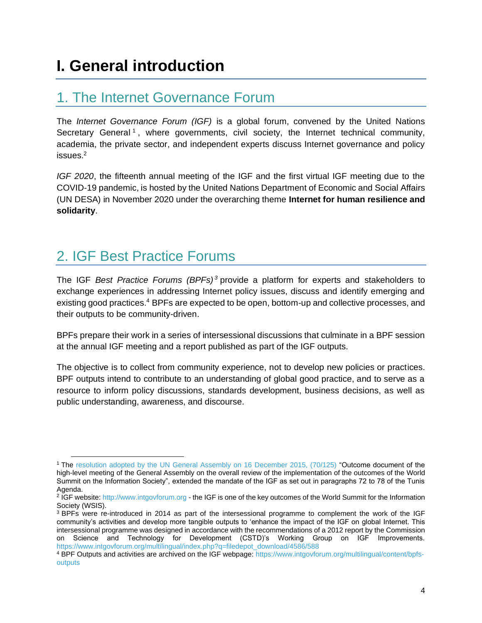## <span id="page-4-0"></span>**I. General introduction**

### <span id="page-4-1"></span>1. The Internet Governance Forum

The *Internet Governance Forum (IGF)* is a global forum, convened by the United Nations Secretary General<sup>1</sup>, where governments, civil society, the Internet technical community, academia, the private sector, and independent experts discuss Internet governance and policy issues.<sup>2</sup>

*IGF 2020*, the fifteenth annual meeting of the IGF and the first virtual IGF meeting due to the COVID-19 pandemic, is hosted by the United Nations Department of Economic and Social Affairs (UN DESA) in November 2020 under the overarching theme **Internet for human resilience and solidarity**.

## <span id="page-4-2"></span>2. IGF Best Practice Forums

The IGF *Best Practice Forums (BPFs) <sup>3</sup>* provide a platform for experts and stakeholders to exchange experiences in addressing Internet policy issues, discuss and identify emerging and existing good practices.<sup>4</sup> BPFs are expected to be open, bottom-up and collective processes, and their outputs to be community-driven.

BPFs prepare their work in a series of intersessional discussions that culminate in a BPF session at the annual IGF meeting and a report published as part of the IGF outputs.

The objective is to collect from community experience, not to develop new policies or practices. BPF outputs intend to contribute to an understanding of global good practice, and to serve as a resource to inform policy discussions, standards development, business decisions, as well as public understanding, awareness, and discourse.

<sup>&</sup>lt;sup>1</sup> The [resolution adopted by the UN General Assembly on 16 December 2015, \(70/125\)](https://unctad.org/en/PublicationsLibrary/ares70d125_en.pdf) "Outcome document of the high-level meeting of the General Assembly on the overall review of the implementation of the outcomes of the World Summit on the Information Society", extended the mandate of the IGF as set out in paragraphs 72 to 78 of the Tunis Agenda.

<sup>&</sup>lt;sup>2</sup> IGF website: http://www.intgovforum.org - the IGF is one of the key outcomes of the World Summit for the Information Society (WSIS).

<sup>&</sup>lt;sup>3</sup> BPFs were re-introduced in 2014 as part of the intersessional programme to complement the work of the IGF community's activities and develop more tangible outputs to 'enhance the impact of the IGF on global Internet. This intersessional programme was designed in accordance with the recommendations of a 2012 report by the Commission on Science and Technology for Development (CSTD)'s Working Group on IGF Improvements. [https://www.intgovforum.org/multilingual/index.php?q=filedepot\\_download/4586/588](https://www.intgovforum.org/multilingual/index.php?q=filedepot_download/4586/588)

<sup>4</sup> BPF Outputs and activities are archived on the IGF webpage: [https://www.intgovforum.org/multilingual/content/bpfs](https://www.intgovforum.org/multilingual/content/bpfs-outputs)[outputs](https://www.intgovforum.org/multilingual/content/bpfs-outputs)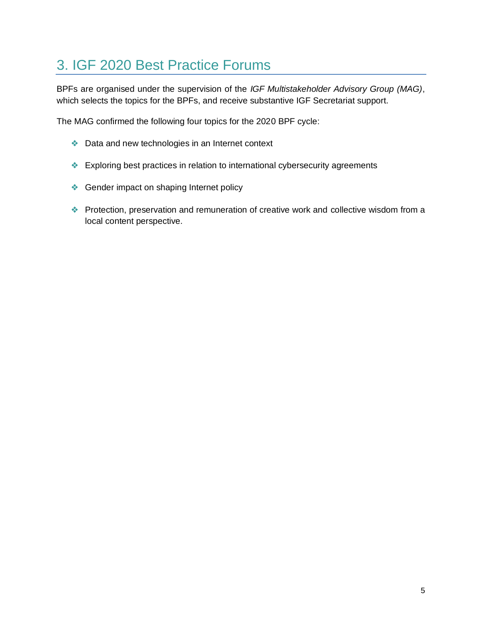## <span id="page-5-0"></span>3. IGF 2020 Best Practice Forums

BPFs are organised under the supervision of the *IGF Multistakeholder Advisory Group (MAG)*, which selects the topics for the BPFs, and receive substantive IGF Secretariat support.

The MAG confirmed the following four topics for the 2020 BPF cycle:

- ❖ Data and new technologies in an Internet context
- ❖ Exploring best practices in relation to international cybersecurity agreements
- ❖ Gender impact on shaping Internet policy
- ❖ Protection, preservation and remuneration of creative work and collective wisdom from a local content perspective.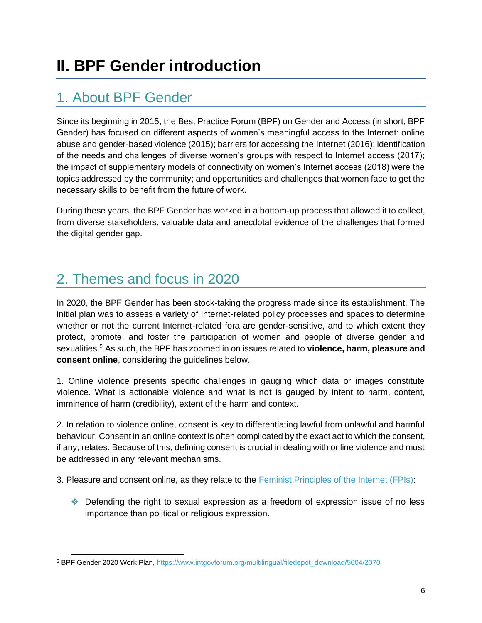## <span id="page-6-1"></span><span id="page-6-0"></span>1. About BPF Gender

Since its beginning in 2015, the Best Practice Forum (BPF) on Gender and Access (in short, BPF Gender) has focused on different aspects of women's meaningful access to the Internet: online abuse and gender-based violence (2015); barriers for accessing the Internet (2016); identification of the needs and challenges of diverse women's groups with respect to Internet access (2017); the impact of supplementary models of connectivity on women's Internet access (2018) were the topics addressed by the community; and opportunities and challenges that women face to get the necessary skills to benefit from the future of work.

During these years, the BPF Gender has worked in a bottom-up process that allowed it to collect, from diverse stakeholders, valuable data and anecdotal evidence of the challenges that formed the digital gender gap.

## <span id="page-6-2"></span>2. Themes and focus in 2020

In 2020, the BPF Gender has been stock-taking the progress made since its establishment. The initial plan was to assess a variety of Internet-related policy processes and spaces to determine whether or not the current Internet-related fora are gender-sensitive, and to which extent they protect, promote, and foster the participation of women and people of diverse gender and sexualities.<sup>5</sup> As such, the BPF has zoomed in on issues related to **violence, harm, pleasure and consent online**, considering the guidelines below.

1. Online violence presents specific challenges in gauging which data or images constitute violence. What is actionable violence and what is not is gauged by intent to harm, content, imminence of harm (credibility), extent of the harm and context.

2. In relation to violence online, consent is key to differentiating lawful from unlawful and harmful behaviour. Consent in an online context is often complicated by the exact act to which the consent, if any, relates. Because of this, defining consent is crucial in dealing with online violence and must be addressed in any relevant mechanisms.

3. Pleasure and consent online, as they relate to the [Feminist Principles of the Internet \(FPIs\):](https://feministinternet.org/en/principles)

❖ Defending the right to sexual expression as a freedom of expression issue of no less importance than political or religious expression.

<sup>5</sup> BPF Gender 2020 Work Plan, [https://www.intgovforum.org/multilingual/filedepot\\_download/5004/2070](https://www.intgovforum.org/multilingual/filedepot_download/5004/2070)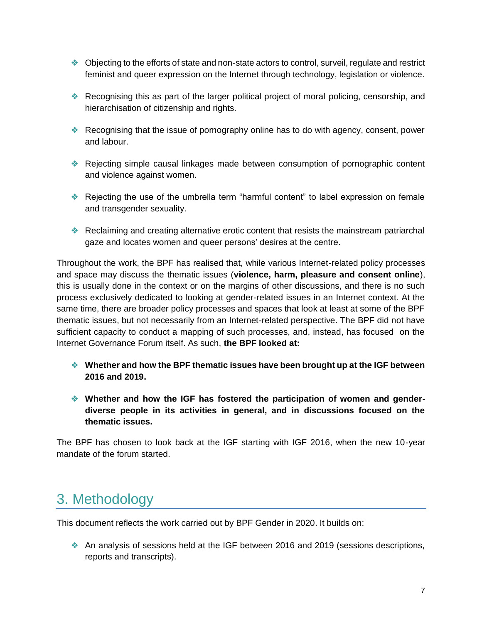- ❖ Objecting to the efforts of state and non-state actors to control, surveil, regulate and restrict feminist and queer expression on the Internet through technology, legislation or violence.
- ❖ Recognising this as part of the larger political project of moral policing, censorship, and hierarchisation of citizenship and rights.
- ❖ Recognising that the issue of pornography online has to do with agency, consent, power and labour.
- ❖ Rejecting simple causal linkages made between consumption of pornographic content and violence against women.
- ❖ Rejecting the use of the umbrella term "harmful content" to label expression on female and transgender sexuality.
- ❖ Reclaiming and creating alternative erotic content that resists the mainstream patriarchal gaze and locates women and queer persons' desires at the centre.

Throughout the work, the BPF has realised that, while various Internet-related policy processes and space may discuss the thematic issues (**violence, harm, pleasure and consent online**), this is usually done in the context or on the margins of other discussions, and there is no such process exclusively dedicated to looking at gender-related issues in an Internet context. At the same time, there are broader policy processes and spaces that look at least at some of the BPF thematic issues, but not necessarily from an Internet-related perspective. The BPF did not have sufficient capacity to conduct a mapping of such processes, and, instead, has focused on the Internet Governance Forum itself. As such, **the BPF looked at:**

- ❖ **Whether and how the BPF thematic issues have been brought up at the IGF between 2016 and 2019.**
- ❖ **Whether and how the IGF has fostered the participation of women and genderdiverse people in its activities in general, and in discussions focused on the thematic issues.**

The BPF has chosen to look back at the IGF starting with IGF 2016, when the new 10-year mandate of the forum started.

## <span id="page-7-0"></span>3. Methodology

This document reflects the work carried out by BPF Gender in 2020. It builds on:

❖ An analysis of sessions held at the IGF between 2016 and 2019 (sessions descriptions, reports and transcripts).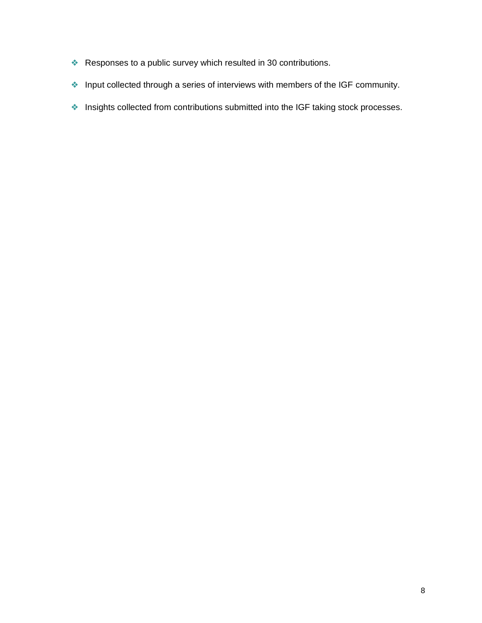- ❖ Responses to a public survey which resulted in 30 contributions.
- ❖ Input collected through a series of interviews with members of the IGF community.
- ❖ Insights collected from contributions submitted into the IGF taking stock processes.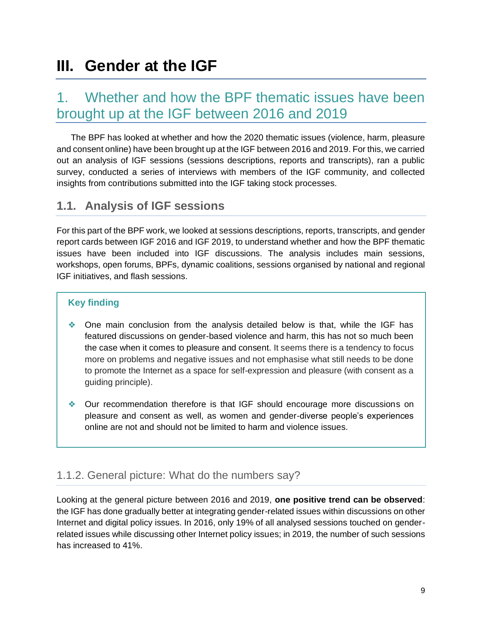## <span id="page-9-0"></span>**III. Gender at the IGF**

### <span id="page-9-1"></span>1. Whether and how the BPF thematic issues have been brought up at the IGF between 2016 and 2019

The BPF has looked at whether and how the 2020 thematic issues (violence, harm, pleasure and consent online) have been brought up at the IGF between 2016 and 2019. For this, we carried out an analysis of IGF sessions (sessions descriptions, reports and transcripts), ran a public survey, conducted a series of interviews with members of the IGF community, and collected insights from contributions submitted into the IGF taking stock processes.

### <span id="page-9-2"></span>**1.1. Analysis of IGF sessions**

For this part of the BPF work, we looked at sessions descriptions, reports, transcripts, and gender report cards between IGF 2016 and IGF 2019, to understand whether and how the BPF thematic issues have been included into IGF discussions. The analysis includes main sessions, workshops, open forums, BPFs, dynamic coalitions, sessions organised by national and regional IGF initiatives, and flash sessions.

#### **Key finding**

- ❖ One main conclusion from the analysis detailed below is that, while the IGF has featured discussions on gender-based violence and harm, this has not so much been the case when it comes to pleasure and consent. It seems there is a tendency to focus more on problems and negative issues and not emphasise what still needs to be done to promote the Internet as a space for self-expression and pleasure (with consent as a guiding principle).
- ❖ Our recommendation therefore is that IGF should encourage more discussions on pleasure and consent as well, as women and gender-diverse people's experiences online are not and should not be limited to harm and violence issues.

### <span id="page-9-3"></span>1.1.2. General picture: What do the numbers say?

Looking at the general picture between 2016 and 2019, **one positive trend can be observed**: the IGF has done gradually better at integrating gender-related issues within discussions on other Internet and digital policy issues. In 2016, only 19% of all analysed sessions touched on genderrelated issues while discussing other Internet policy issues; in 2019, the number of such sessions has increased to 41%.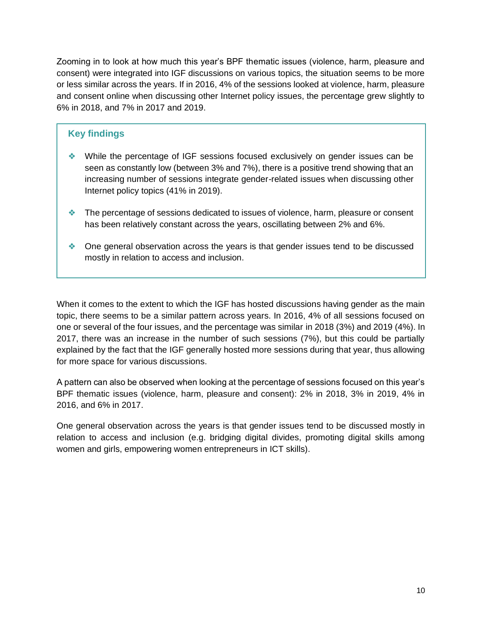Zooming in to look at how much this year's BPF thematic issues (violence, harm, pleasure and consent) were integrated into IGF discussions on various topics, the situation seems to be more or less similar across the years. If in 2016, 4% of the sessions looked at violence, harm, pleasure and consent online when discussing other Internet policy issues, the percentage grew slightly to 6% in 2018, and 7% in 2017 and 2019.

#### **Key findings**

- ❖ While the percentage of IGF sessions focused exclusively on gender issues can be seen as constantly low (between 3% and 7%), there is a positive trend showing that an increasing number of sessions integrate gender-related issues when discussing other Internet policy topics (41% in 2019).
- ❖ The percentage of sessions dedicated to issues of violence, harm, pleasure or consent has been relatively constant across the years, oscillating between 2% and 6%.
- ❖ One general observation across the years is that gender issues tend to be discussed mostly in relation to access and inclusion.

When it comes to the extent to which the IGF has hosted discussions having gender as the main topic, there seems to be a similar pattern across years. In 2016, 4% of all sessions focused on one or several of the four issues, and the percentage was similar in 2018 (3%) and 2019 (4%). In 2017, there was an increase in the number of such sessions (7%), but this could be partially explained by the fact that the IGF generally hosted more sessions during that year, thus allowing for more space for various discussions.

A pattern can also be observed when looking at the percentage of sessions focused on this year's BPF thematic issues (violence, harm, pleasure and consent): 2% in 2018, 3% in 2019, 4% in 2016, and 6% in 2017.

One general observation across the years is that gender issues tend to be discussed mostly in relation to access and inclusion (e.g. bridging digital divides, promoting digital skills among women and girls, empowering women entrepreneurs in ICT skills).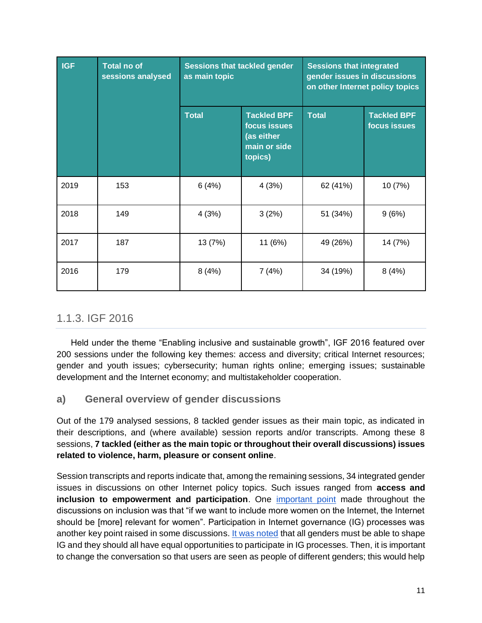| <b>IGF</b> | <b>Total no of</b><br>sessions analysed | as main topic | <b>Sessions that tackled gender</b>                                         |              | <b>Sessions that integrated</b><br>gender issues in discussions<br>on other Internet policy topics |  |
|------------|-----------------------------------------|---------------|-----------------------------------------------------------------------------|--------------|----------------------------------------------------------------------------------------------------|--|
|            |                                         | <b>Total</b>  | <b>Tackled BPF</b><br>focus issues<br>(as either<br>main or side<br>topics) | <b>Total</b> | <b>Tackled BPF</b><br>focus issues                                                                 |  |
| 2019       | 153                                     | 6(4%)         | 4(3%)                                                                       | 62 (41%)     | 10 (7%)                                                                                            |  |
| 2018       | 149                                     | 4(3%)         | 3(2%)                                                                       | 51 (34%)     | 9(6%)                                                                                              |  |
| 2017       | 187                                     | 13 (7%)       | 11 (6%)                                                                     | 49 (26%)     | 14 (7%)                                                                                            |  |
| 2016       | 179                                     | 8(4%)         | 7(4%)                                                                       | 34 (19%)     | 8(4%)                                                                                              |  |

### <span id="page-11-0"></span>1.1.3. IGF 2016

Held under the theme "Enabling inclusive and sustainable growth", IGF 2016 featured over 200 sessions under the following key themes: access and diversity; critical Internet resources; gender and youth issues; cybersecurity; human rights online; emerging issues; sustainable development and the Internet economy; and multistakeholder cooperation.

#### <span id="page-11-1"></span>**a) General overview of gender discussions**

Out of the 179 analysed sessions, 8 tackled gender issues as their main topic, as indicated in their descriptions, and (where available) session reports and/or transcripts. Among these 8 sessions, **7 tackled (either as the main topic or throughout their overall discussions) issues related to violence, harm, pleasure or consent online**.

Session transcripts and reports indicate that, among the remaining sessions, 34 integrated gender issues in discussions on other Internet policy topics. Such issues ranged from **access and inclusion to empowerment and participation**. One [important point](https://www.intgovforum.org/multilingual/content/igf-2016-day-2-main-hall-sustainable-development-internet-and-inclusive-growth) made throughout the discussions on inclusion was that "if we want to include more women on the Internet, the Internet should be [more] relevant for women". Participation in Internet governance (IG) processes was another key point raised in some discussions[. It was noted](https://www.intgovforum.org/multilingual/content/igf-2016-day-3-main-hall-igf-dynamic-coalitions) that all genders must be able to shape IG and they should all have equal opportunities to participate in IG processes. Then, it is important to change the conversation so that users are seen as people of different genders; this would help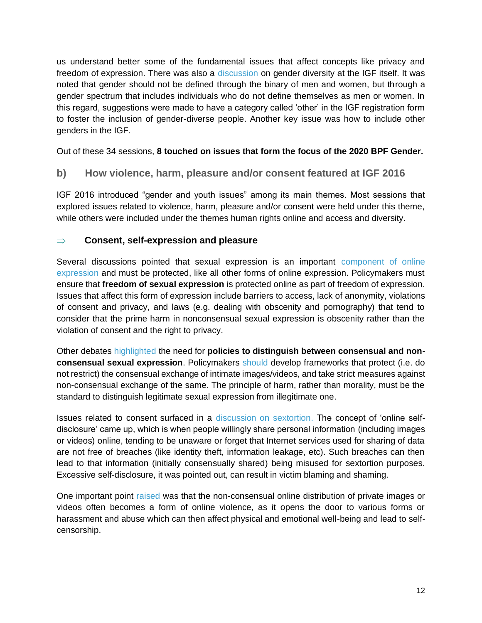us understand better some of the fundamental issues that affect concepts like privacy and freedom of expression. There was also a [discussion](https://www.intgovforum.org/multilingual/content/igf-2016-day-1-room-9-dc-on-gender-and-internet-governance) on gender diversity at the IGF itself. It was noted that gender should not be defined through the binary of men and women, but through a gender spectrum that includes individuals who do not define themselves as men or women. In this regard, suggestions were made to have a category called 'other' in the IGF registration form to foster the inclusion of gender-diverse people. Another key issue was how to include other genders in the IGF.

Out of these 34 sessions, **8 touched on issues that form the focus of the 2020 BPF Gender.** 

#### <span id="page-12-0"></span>**b) How violence, harm, pleasure and/or consent featured at IGF 2016**

IGF 2016 introduced "gender and youth issues" among its main themes. Most sessions that explored issues related to violence, harm, pleasure and/or consent were held under this theme, while others were included under the themes human rights online and access and diversity.

#### **Consent, self-expression and pleasure**

Several discussions pointed that sexual expression is an important [component of online](https://www.intgovforum.org/multilingual/content/igf-2016-day-3-room-6-ws164-sex-and-freedom-of-expression-online)  [expression](https://www.intgovforum.org/multilingual/content/igf-2016-day-3-room-6-ws164-sex-and-freedom-of-expression-online) and must be protected, like all other forms of online expression. Policymakers must ensure that **freedom of sexual expression** is protected online as part of freedom of expression. Issues that affect this form of expression include barriers to access, lack of anonymity, violations of consent and privacy, and laws (e.g. dealing with obscenity and pornography) that tend to consider that the prime harm in nonconsensual sexual expression is obscenity rather than the violation of consent and the right to privacy.

Other debates [highlighted](https://www.intgovforum.org/multilingual/content/igf-2016-day-3-room-6-ws164-sex-and-freedom-of-expression-online) the need for **policies to distinguish between consensual and nonconsensual sexual expression**. Policymakers [should](https://www.intgovforum.org/multilingual/content/igf-2016-day-3-main-hall-igf-dynamic-coalitions) develop frameworks that protect (i.e. do not restrict) the consensual exchange of intimate images/videos, and take strict measures against non-consensual exchange of the same. The principle of harm, rather than morality, must be the standard to distinguish legitimate sexual expression from illegitimate one.

Issues related to consent surfaced in a [discussion on sextortion.](https://www.intgovforum.org/multilingual/content/igf-2016-day-2-room-5-ws146-honey-you-are-so-not-in-control-decrypting-sextortion) The concept of 'online selfdisclosure' came up, which is when people willingly share personal information (including images or videos) online, tending to be unaware or forget that Internet services used for sharing of data are not free of breaches (like identity theft, information leakage, etc). Such breaches can then lead to that information (initially consensually shared) being misused for sextortion purposes. Excessive self-disclosure, it was pointed out, can result in victim blaming and shaming.

One important point [raised](https://www.intgovforum.org/multilingual/content/igf-2016-day-2-room-8-workshop-freedom-house) was that the non-consensual online distribution of private images or videos often becomes a form of online violence, as it opens the door to various forms or harassment and abuse which can then affect physical and emotional well-being and lead to selfcensorship.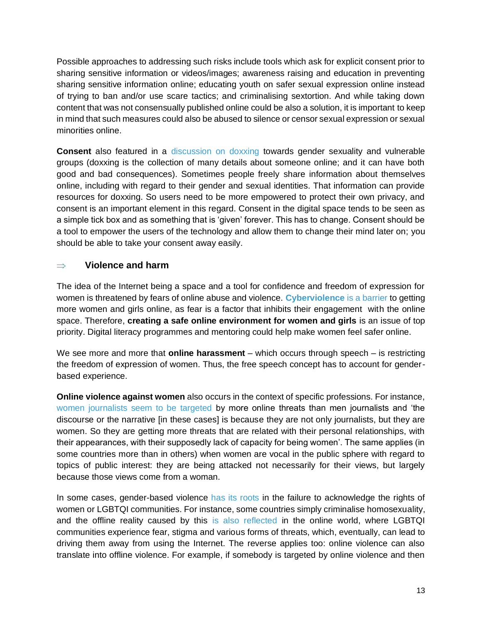Possible approaches to addressing such risks include tools which ask for explicit consent prior to sharing sensitive information or videos/images; awareness raising and education in preventing sharing sensitive information online; educating youth on safer sexual expression online instead of trying to ban and/or use scare tactics; and criminalising sextortion. And while taking down content that was not consensually published online could be also a solution, it is important to keep in mind that such measures could also be abused to silence or censor sexual expression or sexual minorities online.

**Consent** also featured in a [discussion on doxxing](https://www.intgovforum.org/multilingual/content/igf-2016-day-3-room-6-ws127-doxxing-women-privacy-protections-against-gender-violence) towards gender sexuality and vulnerable groups (doxxing is the collection of many details about someone online; and it can have both good and bad consequences). Sometimes people freely share information about themselves online, including with regard to their gender and sexual identities. That information can provide resources for doxxing. So users need to be more empowered to protect their own privacy, and consent is an important element in this regard. Consent in the digital space tends to be seen as a simple tick box and as something that is 'given' forever. This has to change. Consent should be a tool to empower the users of the technology and allow them to change their mind later on; you should be able to take your consent away easily.

#### **Violence and harm**

The idea of the Internet being a space and a tool for confidence and freedom of expression for women is threatened by fears of online abuse and violence. **[Cyberviolence](https://www.intgovforum.org/multilingual/content/igf-2016-day-1-room-1-ws15-an-internet-of-women-by-2020-wsis-vision-into-reality)** [is a barrier](https://www.intgovforum.org/multilingual/content/igf-2016-day-1-room-1-ws15-an-internet-of-women-by-2020-wsis-vision-into-reality) to getting more women and girls online, as fear is a factor that inhibits their engagement with the online space. Therefore, **creating a safe online environment for women and girls** is an issue of top priority. Digital literacy programmes and mentoring could help make women feel safer online.

We see more and more that **online harassment** – which occurs through speech – is restricting the freedom of expression of women. Thus, the free speech concept has to account for genderbased experience.

**Online violence against women** also occurs in the context of specific professions. For instance, [women journalists seem to be targeted b](https://www.intgovforum.org/multilingual/content/igf-2016-day-2-room-10-dc-on-internet-rights-and-principles)y more online threats than men journalists and 'the discourse or the narrative [in these cases] is because they are not only journalists, but they are women. So they are getting more threats that are related with their personal relationships, with their appearances, with their supposedly lack of capacity for being women'. The same applies (in some countries more than in others) when women are vocal in the public sphere with regard to topics of public interest: they are being attacked not necessarily for their views, but largely because those views come from a woman.

In some cases, gender-based violence [has its roots](https://www.intgovforum.org/multilingual/content/igf-2016-day-2-room-8-of27-freedom-online-coalition) in the failure to acknowledge the rights of women or LGBTQI communities. For instance, some countries simply criminalise homosexuality, and the offline reality caused by this [is also reflected i](https://www.intgovforum.org/multilingual/content/igf-2016-day-2-room-8-workshop-freedom-house)n the online world, where LGBTQI communities experience fear, stigma and various forms of threats, which, eventually, can lead to driving them away from using the Internet. The reverse applies too: online violence can also translate into offline violence. For example, if somebody is targeted by online violence and then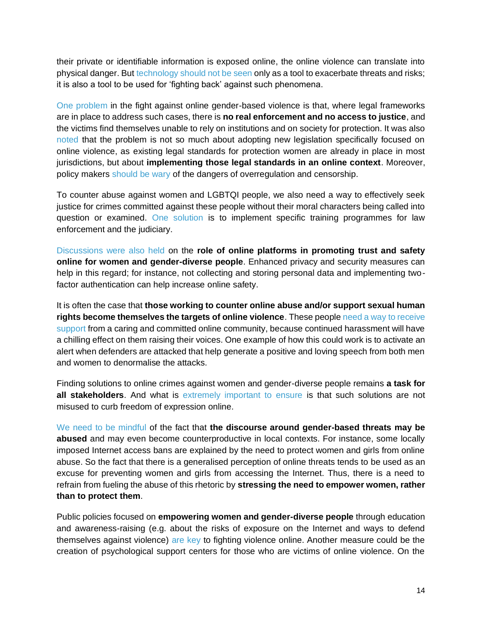their private or identifiable information is exposed online, the online violence can translate into physical danger. But [technology should not be seen o](https://www.intgovforum.org/multilingual/content/igf-2016-day-3-main-hall-human-rights-broadening-the-conversation)nly as a tool to exacerbate threats and risks; it is also a tool to be used for 'fighting back' against such phenomena.

[One problem](https://www.intgovforum.org/multilingual/content/igf-2016-day-2-room-8-workshop-freedom-house) in the fight against online gender-based violence is that, where legal frameworks are in place to address such cases, there is **no real enforcement and no access to justice**, and the victims find themselves unable to rely on institutions and on society for protection. It was also [noted](https://www.intgovforum.org/multilingual/content/igf-2016-day-2-room-8-workshop-freedom-house) that the problem is not so much about adopting new legislation specifically focused on online violence, as existing legal standards for protection women are already in place in most jurisdictions, but about **implementing those legal standards in an online context**. Moreover, policy makers [should be wary o](https://www.intgovforum.org/multilingual/content/igf-2016-day-3-room-6-ws138-solutions-for-countering-online-abuse-against-women)f the dangers of overregulation and censorship.

To counter abuse against women and LGBTQI people, we also need a way to effectively seek justice for crimes committed against these people without their moral characters being called into question or examined. [One solution](https://www.intgovforum.org/multilingual/content/igf-2016-day-3-room-6-ws138-solutions-for-countering-online-abuse-against-women) is to implement specific training programmes for law enforcement and the judiciary.

[Discussions were also held](https://www.intgovforum.org/multilingual/content/igf-2016-day-2-room-8-workshop-freedom-house) on the **role of online platforms in promoting trust and safety online for women and gender-diverse people**. Enhanced privacy and security measures can help in this regard; for instance, not collecting and storing personal data and implementing twofactor authentication can help increase online safety.

It is often the case that **those working to counter online abuse and/or support sexual human rights become themselves the targets of online violence**. These peopl[e need a way to receive](https://www.intgovforum.org/multilingual/content/igf-2016-day-3-room-6-ws138-solutions-for-countering-online-abuse-against-women)  [support](https://www.intgovforum.org/multilingual/content/igf-2016-day-3-room-6-ws138-solutions-for-countering-online-abuse-against-women) from a caring and committed online community, because continued harassment will have a chilling effect on them raising their voices. One example of how this could work is to activate an alert when defenders are attacked that help generate a positive and loving speech from both men and women to denormalise the attacks.

Finding solutions to online crimes against women and gender-diverse people remains **a task for all stakeholders**. And what is [extremely important to ensure](https://www.intgovforum.org/multilingual/content/igf-2016-day-2-room-5-ws216-%C2%A0techwomen-driving-ict-innovation-collaboration-in-casa) is that such solutions are not misused to curb freedom of expression online.

[We need to be mindful](https://www.intgovforum.org/multilingual/content/igf-2016-day-2-room-9-bpf-gender-and-access) of the fact that **the discourse around gender-based threats may be abused** and may even become counterproductive in local contexts. For instance, some locally imposed Internet access bans are explained by the need to protect women and girls from online abuse. So the fact that there is a generalised perception of online threats tends to be used as an excuse for preventing women and girls from accessing the Internet. Thus, there is a need to refrain from fueling the abuse of this rhetoric by **stressing the need to empower women, rather than to protect them**.

Public policies focused on **empowering women and gender-diverse people** through education and awareness-raising (e.g. about the risks of exposure on the Internet and ways to defend themselves against violence) [are key](https://www.intgovforum.org/multilingual/content/igf-2016-day-3-room-6-ws127-doxxing-women-privacy-protections-against-gender-violence) to fighting violence online. Another measure could be the creation of psychological support centers for those who are victims of online violence. On the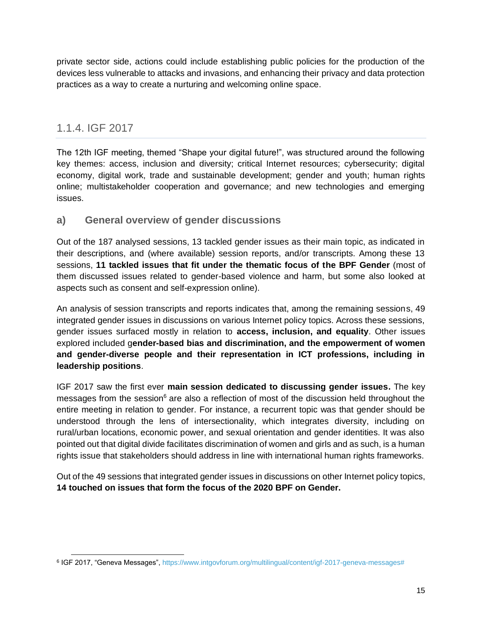private sector side, actions could include establishing public policies for the production of the devices less vulnerable to attacks and invasions, and enhancing their privacy and data protection practices as a way to create a nurturing and welcoming online space.

### <span id="page-15-0"></span>1.1.4. IGF 2017

The 12th IGF meeting, themed "Shape your digital future!", was structured around the following key themes: access, inclusion and diversity; critical Internet resources; cybersecurity; digital economy, digital work, trade and sustainable development; gender and youth; human rights online; multistakeholder cooperation and governance; and new technologies and emerging issues.

#### <span id="page-15-1"></span>**a) General overview of gender discussions**

Out of the 187 analysed sessions, 13 tackled gender issues as their main topic, as indicated in their descriptions, and (where available) session reports, and/or transcripts. Among these 13 sessions, **11 tackled issues that fit under the thematic focus of the BPF Gender** (most of them discussed issues related to gender-based violence and harm, but some also looked at aspects such as consent and self-expression online).

An analysis of session transcripts and reports indicates that, among the remaining sessions, 49 integrated gender issues in discussions on various Internet policy topics. Across these sessions, gender issues surfaced mostly in relation to **access, inclusion, and equality**. Other issues explored included g**ender-based bias and discrimination, and the empowerment of women and gender-diverse people and their representation in ICT professions, including in leadership positions**.

IGF 2017 saw the first ever **[main session dedicated to discussing gender issues.](https://www.intgovforum.org/multilingual/content/igf-2017-day-3-room-xvii-plenary-gender-inclusion-the-future-of-the-internet)** The key messages from the session $6$  are also a reflection of most of the discussion held throughout the entire meeting in relation to gender. For instance, a recurrent topic was that gender should be understood through the lens of intersectionality, which integrates diversity, including on rural/urban locations, economic power, and sexual orientation and gender identities. It was also pointed out that digital divide facilitates discrimination of women and girls and as such, is a human rights issue that stakeholders should address in line with international human rights frameworks.

Out of the 49 sessions that integrated gender issues in discussions on other Internet policy topics, **14 touched on issues that form the focus of the 2020 BPF on Gender.** 

<sup>&</sup>lt;sup>6</sup> IGF 2017, "Geneva Messages", [https://www.intgovforum.org/multilingual/content/igf-2017-geneva-messages#](https://www.intgovforum.org/multilingual/content/igf-2017-geneva-messages)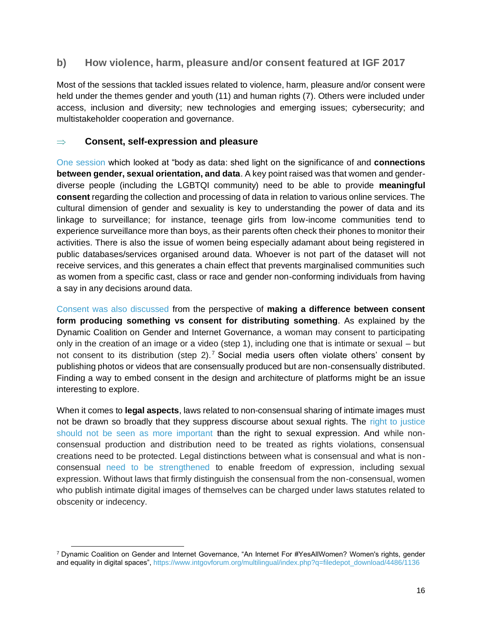#### <span id="page-16-0"></span>**b) How violence, harm, pleasure and/or consent featured at IGF 2017**

Most of the sessions that tackled issues related to violence, harm, pleasure and/or consent were held under the themes gender and youth (11) and human rights (7). Others were included under access, inclusion and diversity; new technologies and emerging issues; cybersecurity; and multistakeholder cooperation and governance.

#### **Consent, self-expression and pleasure**

[One session](https://www.intgovforum.org/multilingual/content/igf-2017-day-1-room-xxv-ws180-ms-body-as-data-dataveillance-the-informatization-of-the-body) which looked at "body as data: shed light on the significance of and **connections between gender, sexual orientation, and data**. A key point raised was that women and genderdiverse people (including the LGBTQI community) need to be able to provide **meaningful consent** regarding the collection and processing of data in relation to various online services. The cultural dimension of gender and sexuality is key to understanding the power of data and its linkage to surveillance; for instance, teenage girls from low-income communities tend to experience surveillance more than boys, as their parents often check their phones to monitor their activities. There is also the issue of women being especially adamant about being registered in public databases/services organised around data. Whoever is not part of the dataset will not receive services, and this generates a chain effect that prevents marginalised communities such as women from a specific cast, class or race and gender non-conforming individuals from having a say in any decisions around data.

[Consent was also discussed](https://www.intgovforum.org/multilingual/content/igf-2017-day-3-room-xvii-dynamic-coalitions-contribute-to-the-digital-future) from the perspective of **making a difference between consent form producing something vs consent for distributing something**. As explained by the Dynamic Coalition on Gender and Internet Governance, a woman may consent to participating only in the creation of an image or a video (step 1), including one that is intimate or sexual – but not consent to its distribution (step 2).<sup>7</sup> Social media users often violate others' consent by publishing photos or videos that are consensually produced but are non-consensually distributed. Finding a way to embed consent in the design and architecture of platforms might be an issue interesting to explore.

When it comes to **legal aspects**, laws related to non-consensual sharing of intimate images must not be drawn so broadly that they suppress discourse about sexual rights. The right to justice [should not be seen as more important](https://www.intgovforum.org/multilingual/content/igf-2017-day-3-room-xvii-plenary-gender-inclusion-the-future-of-the-internet) than the right to sexual expression. And while nonconsensual production and distribution need to be treated as rights violations, consensual creations need to be protected. Legal distinctions between what is consensual and what is nonconsensual [need to be strengthened](https://www.intgovforum.org/multilingual/index.php?q=filedepot_download/4486/1136) to enable freedom of expression, including sexual expression. Without laws that firmly distinguish the consensual from the non-consensual, women who publish intimate digital images of themselves can be charged under laws statutes related to obscenity or indecency.

<sup>7</sup> Dynamic Coalition on Gender and Internet Governance, "An Internet For #YesAllWomen? Women's rights, gender and equality in digital spaces", [https://www.intgovforum.org/multilingual/index.php?q=filedepot\\_download/4486/1136](https://www.intgovforum.org/multilingual/index.php?q=filedepot_download/4486/1136)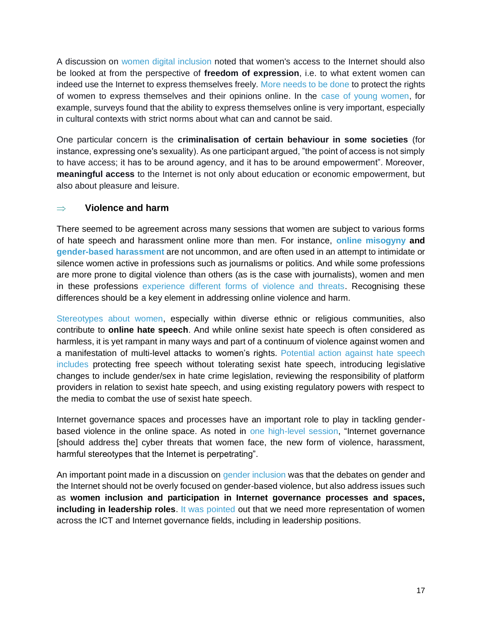A discussion on [women digital inclusion](https://www.intgovforum.org/multilingual/content/igf-2017-day-1-room-xxvi-ws49-digital-inclusion-for-women-scaling-up-our-efforts) noted that women's access to the Internet should also be looked at from the perspective of **freedom of expression**, i.e. to what extent women can indeed use the Internet to express themselves freely. [More needs to be done](https://www.intgovforum.org/multilingual/content/igf-2017-day-2-room-xxii-ws166-combating-online-violence-against-politically-active-women) to protect the rights of women to express themselves and their opinions online. In the [case of young women,](https://www.intgovforum.org/multilingual/content/igf-2017-day-3-room-xxv-bpf-best-practice-forum-on-gender-and-access) for example, surveys found that the ability to express themselves online is very important, especially in cultural contexts with strict norms about what can and cannot be said.

One particular concern is the **criminalisation of certain behaviour in some societies** (for instance, expressing one's sexuality). As one participant argued, "the point of access is not simply to have access; it has to be around agency, and it has to be around empowerment". Moreover, **meaningful access** to the Internet is not only about education or economic empowerment, but also about pleasure and leisure.

#### **Violence and harm**

There seemed to be agreement across many sessions that women are subject to various forms of hate speech and harassment online more than men. For instance, **[online misogyny](https://www.intgovforum.org/multilingual/content/igf-2017-day-1-room-xxiv-internet-rights-and-principles-coalition) and [gender-based harassment](https://www.intgovforum.org/multilingual/content/igf-2017-day-4-room-xxvii-ws154-the-distributed-denial-of-democracy-threats-to-democracy)** are not uncommon, and are often used in an attempt to intimidate or silence women active in professions such as journalisms or politics. And while some professions are more prone to digital violence than others (as is the case with journalists), women and men in these professions [experience different forms of violence and threats.](https://www.intgovforum.org/multilingual/content/igf-2017-day-2-room-xxii-ws184-surveillance-from-the-margins) Recognising these differences should be a key element in addressing online violence and harm.

[Stereotypes about women,](https://www.intgovforum.org/multilingual/content/igf-2017-day-2-room-xii-ws215-selective-persecution-and-the-mob-hate-and-religion-online) especially within diverse ethnic or religious communities, also contribute to **online hate speech**. And while online sexist hate speech is often considered as harmless, it is yet rampant in many ways and part of a continuum of violence against women and a manifestation of multi-level attacks to women's rights. [Potential action against hate speech](https://www.intgovforum.org/multilingual/content/igf-2017-day-3-room-xxvii-dc-gender-and-internet-governance)  [includes](https://www.intgovforum.org/multilingual/content/igf-2017-day-3-room-xxvii-dc-gender-and-internet-governance) protecting free speech without tolerating sexist hate speech, introducing legislative changes to include gender/sex in hate crime legislation, reviewing the responsibility of platform providers in relation to sexist hate speech, and using existing regulatory powers with respect to the media to combat the use of sexist hate speech.

Internet governance spaces and processes have an important role to play in tackling genderbased violence in the online space. As noted in [one high-level session,](https://www.intgovforum.org/multilingual/content/igf-2017-day-1-assembly-hall-high-level-thematic-session-shaping-our-future-digital-global) "Internet governance [should address the] cyber threats that women face, the new form of violence, harassment, harmful stereotypes that the Internet is perpetrating".

An important point made in a discussion on [gender inclusion](https://www.intgovforum.org/multilingual/content/igf-2017-day-1-room-xxvi-of19-seed-alliance-gender-inclusion-towards-great-female-leadership) was that the debates on gender and the Internet should not be overly focused on gender-based violence, but also address issues such as **women inclusion and participation in Internet governance processes and spaces, including in leadership roles**. [It was pointed](https://www.intgovforum.org/multilingual/content/igf-2017-day-3-room-xvii-plenary-gender-inclusion-the-future-of-the-internet) out that we need more representation of women across the ICT and Internet governance fields, including in leadership positions.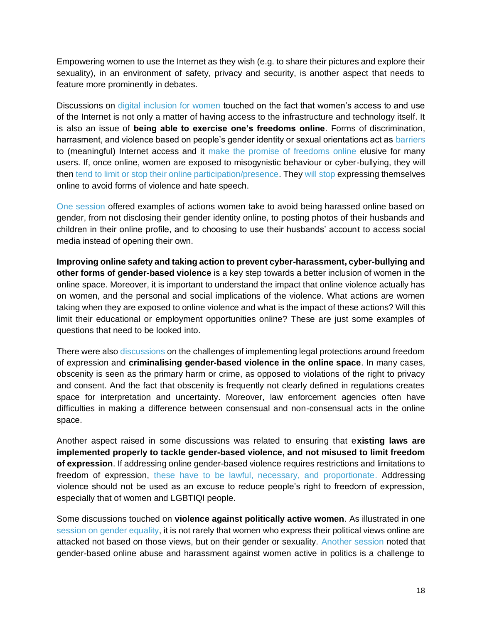Empowering women to use the Internet as they wish (e.g. to share their pictures and explore their sexuality), in an environment of safety, privacy and security, is another aspect that needs to feature more prominently in debates.

Discussions on [digital inclusion for women](https://www.intgovforum.org/multilingual/content/igf-2017-day-1-room-xxvi-ws49-digital-inclusion-for-women-scaling-up-our-efforts) touched on the fact that women's access to and use of the Internet is not only a matter of having access to the infrastructure and technology itself. It is also an issue of **being able to exercise one's freedoms online**. Forms of discrimination, harrasment, and violence based on people's gender identity or sexual orientations act as [barriers](https://www.intgovforum.org/multilingual/content/igf-2017-day-3-room-ix-best-practice-forum-on-cybersecurity) to (meaningful) Internet access and it [make the promise of freedoms online](https://www.intgovforum.org/multilingual/content/igf-2017-day-2-room-xxiv-ws152-online-freedom-for-allno-unfreedom-for-women-how-do-we-solve) elusive for many users. If, once online, women are exposed to misogynistic behaviour or cyber-bullying, they will then [tend to limit or stop their online participation/presence.](https://www.intgovforum.org/multilingual/content/igf-2017-day-4-room-xxiv-ws33-a-look-at-world-trends-in-freedom-of-expression-online) They [will stop](https://www.intgovforum.org/multilingual/content/igf-2017-day-2-room-xxiv-ws152-online-freedom-for-allno-unfreedom-for-women-how-do-we-solve) expressing themselves online to avoid forms of violence and hate speech.

[One session](https://www.intgovforum.org/multilingual/content/igf-2017-day-1-room-xxvii-ws157-what-digital-future-for-vulnerable-people) offered examples of actions women take to avoid being harassed online based on gender, from not disclosing their gender identity online, to posting photos of their husbands and children in their online profile, and to choosing to use their husbands' account to access social media instead of opening their own.

**Improving online safety and taking action to prevent cyber-harassment, cyber-bullying and other forms of gender-based violence** is a key step towards a better inclusion of women in the online space. Moreover, it is important to understand the impact that online violence actually has on women, and the personal and social implications of the violence. What actions are women taking when they are exposed to online violence and what is the impact of these actions? Will this limit their educational or employment opportunities online? These are just some examples of questions that need to be looked into.

There were also [discussions](https://www.intgovforum.org/multilingual/content/igf-2017-day-3-room-ix-ws250-the-dark-side-of-the-internet-policy-how-flawed-policy-can-lead) on the challenges of implementing legal protections around freedom of expression and **criminalising gender-based violence in the online space**. In many cases, obscenity is seen as the primary harm or crime, as opposed to violations of the right to privacy and consent. And the fact that obscenity is frequently not clearly defined in regulations creates space for interpretation and uncertainty. Moreover, law enforcement agencies often have difficulties in making a difference between consensual and non-consensual acts in the online space.

Another aspect raised in some discussions was related to ensuring that e**xisting laws are implemented properly to tackle gender-based violence, and not misused to limit freedom of expression**. If addressing online gender-based violence requires restrictions and limitations to freedom of expression, [these have to be lawful, necessary, and proportionate.](https://www.intgovforum.org/multilingual/content/igf-2017-day-3-room-xvii-plenary-gender-inclusion-the-future-of-the-internet) Addressing violence should not be used as an excuse to reduce people's right to freedom of expression, especially that of women and LGBTIQI people.

Some discussions touched on **violence against politically active women**. As illustrated in one [session on gender equality,](https://www.intgovforum.org/multilingual/content/igf-2017-day-1-room-xxvi-ws57-a-playbook-for-gender-equality-how-to-harness-the-power-of) it is not rarely that women who express their political views online are attacked not based on those views, but on their gender or sexuality. [Another session](https://www.intgovforum.org/multilingual/content/igf-2017-day-2-room-xxii-ws166-combating-online-violence-against-politically-active-women) noted that gender-based online abuse and harassment against women active in politics is a challenge to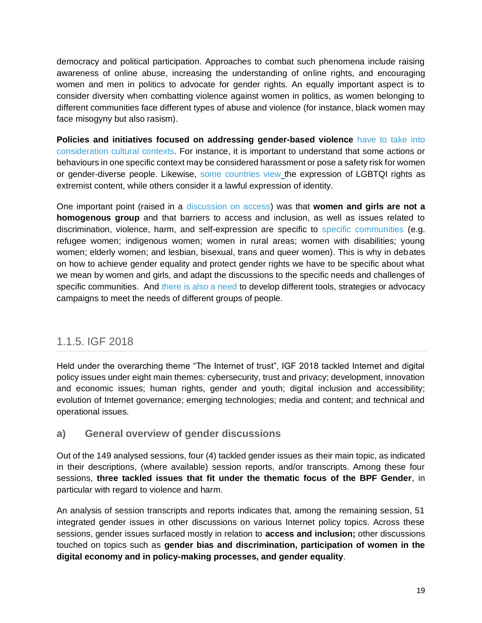democracy and political participation. Approaches to combat such phenomena include raising awareness of online abuse, increasing the understanding of online rights, and encouraging women and men in politics to advocate for gender rights. An equally important aspect is to consider diversity when combatting violence against women in politics, as women belonging to different communities face different types of abuse and violence (for instance, black women may face misogyny but also rasism).

**Policies and initiatives focused on addressing gender-based violence** [have to take into](https://www.intgovforum.org/multilingual/content/igf-2017-day-1-room-xxvii-of37-council-of-europe-intermediaries-shared-commitments-and)  [consideration cultural contexts.](https://www.intgovforum.org/multilingual/content/igf-2017-day-1-room-xxvii-of37-council-of-europe-intermediaries-shared-commitments-and) For instance, it is important to understand that some actions or behaviours in one specific context may be considered harassment or pose a safety risk for women or gender-diverse people. Likewise, [some countries view](https://www.intgovforum.org/multilingual/content/igf-2017-day-2-room-xxv-of80-tackling-violent-extremism-online-new-human-rights-challenges) the expression of LGBTQI rights as extremist content, while others consider it a lawful expression of identity.

One important point (raised in a [discussion on access\)](https://www.intgovforum.org/multilingual/content/igf-2017-day-1-room-xxvii-cenb-iii) was that **women and girls are not a homogenous group** and that barriers to access and inclusion, as well as issues related to discrimination, violence, harm, and self-expression are specific to [specific communities](https://www.intgovforum.org/multilingual/content/igf-2017-day-3-room-xxv-bpf-best-practice-forum-on-gender-and-access) (e.g. refugee women; indigenous women; women in rural areas; women with disabilities; young women; elderly women; and lesbian, bisexual, trans and queer women). This is why in debates on how to achieve gender equality and protect gender rights we have to be specific about what we mean by women and girls, and adapt the discussions to the specific needs and challenges of specific communities. And [there is also a need](https://www.intgovforum.org/multilingual/content/igf-2017-day-1-room-xxvii-ws157-what-digital-future-for-vulnerable-people) to develop different tools, strategies or advocacy campaigns to meet the needs of different groups of people.

### <span id="page-19-0"></span>1.1.5. IGF 2018

Held under the overarching theme "The Internet of trust", IGF 2018 tackled Internet and digital policy issues under eight main themes: cybersecurity, trust and privacy; development, innovation and economic issues; human rights, gender and youth; digital inclusion and accessibility; evolution of Internet governance; emerging technologies; media and content; and technical and operational issues.

#### <span id="page-19-1"></span>**a) General overview of gender discussions**

Out of the 149 analysed sessions, four (4) tackled gender issues as their main topic, as indicated in their descriptions, (where available) session reports, and/or transcripts. Among these four sessions, **three tackled issues that fit under the thematic focus of the BPF Gender**, in particular with regard to violence and harm.

An analysis of session transcripts and reports indicates that, among the remaining session, 51 integrated gender issues in other discussions on various Internet policy topics. Across these sessions, gender issues surfaced mostly in relation to **access and inclusion;** other discussions touched on topics such as **gender bias and discrimination, participation of women in the digital economy and in policy-making processes, and gender equality**.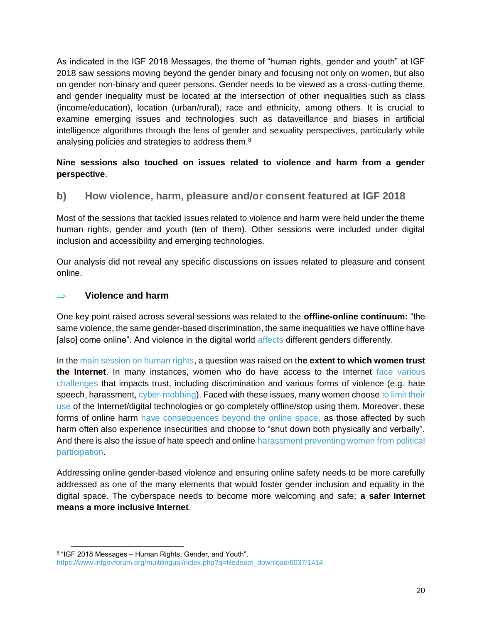As indicated in the IGF 2018 Messages, the theme of "human rights, gender and youth" at IGF 2018 saw sessions moving beyond the gender binary and focusing not only on women, but also on gender non-binary and queer persons. Gender needs to be viewed as a cross-cutting theme, and gender inequality must be located at the intersection of other inequalities such as class (income/education), location (urban/rural), race and ethnicity, among others. It is crucial to examine emerging issues and technologies such as dataveillance and biases in artificial intelligence algorithms through the lens of gender and sexuality perspectives, particularly while analysing policies and strategies to address them.<sup>8</sup>

#### **Nine sessions also touched on issues related to violence and harm from a gender perspective**.

<span id="page-20-0"></span>**b) How violence, harm, pleasure and/or consent featured at IGF 2018**

Most of the sessions that tackled issues related to violence and harm were held under the theme human rights, gender and youth (ten of them). Other sessions were included under digital inclusion and accessibility and emerging technologies.

Our analysis did not reveal any specific discussions on issues related to pleasure and consent online.

#### **Violence and harm**

One key point raised across several sessions was related to the **offline-online continuum:** "the same violence, the same gender-based discrimination, the same inequalities we have offline have [also] come online". And violence in the digital world [affects](https://www.intgovforum.org/multilingual/content/igf-2018-day-2-salle-xi-ws410-preventing-youth-violence-through-icts) different genders differently.

In the [main session on human rights,](https://www.intgovforum.org/multilingual/content/igf-2018-day-2-salle-i-human-rights-gender-and-youth) a question was raised on t**he extent to which women trust the Internet**. In many instances, women who do have access to the Internet [face various](https://www.intgovforum.org/multilingual/content/igf-2018-lightning-session-12-women-empowerment-through-icts)  [challenges](https://www.intgovforum.org/multilingual/content/igf-2018-lightning-session-12-women-empowerment-through-icts) that impacts trust, including discrimination and various forms of violence (e.g. hate speech, harassment, [cyber-mobbing\)](https://www.intgovforum.org/multilingual/content/igf-2018-day-1-salle-iv-ws146-hidden-aspects-of-digital-inclusion). Faced with these issues, many women choose to limit their [use](https://www.intgovforum.org/multilingual/content/igf-2018-day-3-salle-iv-ws182-artificial-intelligence-for-human-rights-and-sdgs) of the Internet/digital technologies or go completely offline/stop using them. Moreover, these forms of online harm [have consequences beyond the online space,](https://www.intgovforum.org/multilingual/content/igf-2018-day-3-salle-iv-ws182-artificial-intelligence-for-human-rights-and-sdgs) as those affected by such harm often also experience insecurities and choose to "shut down both physically and verbally". And there is also the issue of hate speech and online harassment [preventing women from political](https://www.intgovforum.org/multilingual/content/igf-2018-day-1-salle-viii-ws436-gender-issues-and-democratic-participation-reclaiming-icts)  [participation.](https://www.intgovforum.org/multilingual/content/igf-2018-day-1-salle-viii-ws436-gender-issues-and-democratic-participation-reclaiming-icts)

Addressing online gender-based violence and ensuring online safety needs to be more carefully addressed as one of the many elements that would foster gender inclusion and equality in the digital space. The cyberspace needs to become more welcoming and safe; **a safer Internet means a more inclusive Internet**.

<sup>&</sup>lt;sup>8</sup> "IGF 2018 Messages – Human Rights, Gender, and Youth", [https://www.intgovforum.org/multilingual/index.php?q=filedepot\\_download/6037/1414](https://www.intgovforum.org/multilingual/index.php?q=filedepot_download/6037/1414)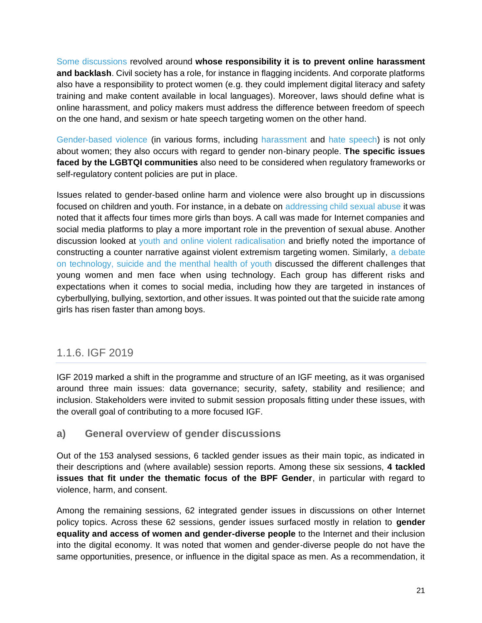[Some discussions](https://www.intgovforum.org/multilingual/content/igf-2018-day-1-salle-viii-ws436-gender-issues-and-democratic-participation-reclaiming-icts) revolved around **whose responsibility it is to prevent online harassment and backlash**. Civil society has a role, for instance in flagging incidents. And corporate platforms also have a responsibility to protect women (e.g. they could implement digital literacy and safety training and make content available in local languages). Moreover, laws should define what is online harassment, and policy makers must address the difference between freedom of speech on the one hand, and sexism or hate speech targeting women on the other hand.

[Gender-based violence](https://www.intgovforum.org/multilingual/content/igf-2018-day-3-salle-viii-dc-on-gender-and-internet-governance) (in various forms, including [harassment](https://www.intgovforum.org/multilingual/content/igf-2018-day-2-salle-xi-ws156-what-does-the-data-say-analyzing-the-gender-digital-divide) and [hate speech\)](https://www.intgovforum.org/multilingual/content/igf-2018-day-3-salle-vii-of31-assessing-hate-speech-and-self-regulation-who-and-how) is not only about women; they also occurs with regard to gender non-binary people. **The specific issues faced by the LGBTQI communities** also need to be considered when regulatory frameworks or self-regulatory content policies are put in place.

Issues related to gender-based online harm and violence were also brought up in discussions focused on children and youth. For instance, in a debate on [addressing child sexual abuse](https://www.intgovforum.org/multilingual/content/igf-2018-lightning-session-15-internet-platforms-sexual-content-and-child-protection) it was noted that it affects four times more girls than boys. A call was made for Internet companies and social media platforms to play a more important role in the prevention of sexual abuse. Another discussion looked at [youth and online violent radicalisation](https://www.intgovforum.org/multilingual/content/igf-2018-day-2-salle-iv-ws185-preventing-youth-from-online-violent-radicalization) and briefly noted the importance of constructing a counter narrative against violent extremism targeting women. Similarly, [a debate](https://www.intgovforum.org/multilingual/content/igf-2018-day-2-salle-xi-ws211-technology-suicide-and-the-mental-health-of-youth)  [on technology, suicide and the menthal health of youth](https://www.intgovforum.org/multilingual/content/igf-2018-day-2-salle-xi-ws211-technology-suicide-and-the-mental-health-of-youth) discussed the different challenges that young women and men face when using technology. Each group has different risks and expectations when it comes to social media, including how they are targeted in instances of cyberbullying, bullying, sextortion, and other issues. It was pointed out that the suicide rate among girls has risen faster than among boys.

### <span id="page-21-0"></span>1.1.6. IGF 2019

IGF 2019 marked a shift in the programme and structure of an IGF meeting, as it was organised around three main issues: data governance; security, safety, stability and resilience; and inclusion. Stakeholders were invited to submit session proposals fitting under these issues, with the overall goal of contributing to a more focused IGF.

#### <span id="page-21-1"></span>**a) General overview of gender discussions**

Out of the 153 analysed sessions, 6 tackled gender issues as their main topic, as indicated in their descriptions and (where available) session reports. Among these six sessions, **4 tackled issues that fit under the thematic focus of the BPF Gender**, in particular with regard to violence, harm, and consent.

Among the remaining sessions, 62 integrated gender issues in discussions on other Internet policy topics. Across these 62 sessions, gender issues surfaced mostly in relation to **gender equality and access of women and gender-diverse people** to the Internet and their inclusion into the digital economy. It was noted that women and gender-diverse people do not have the same opportunities, presence, or influence in the digital space as men. As a recommendation, it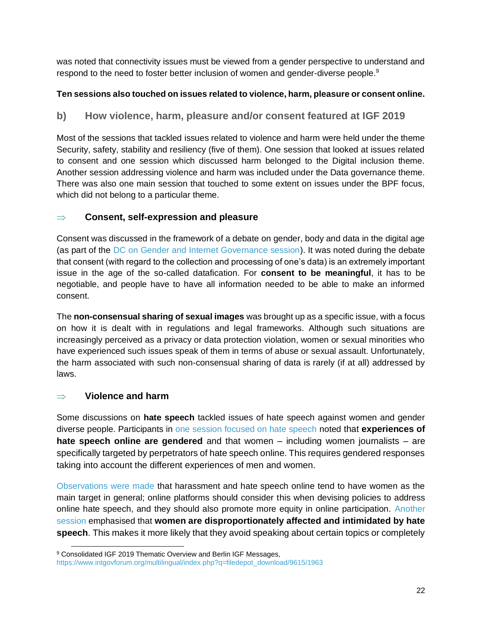was noted that connectivity issues must be viewed from a gender perspective to understand and respond to the need to foster better inclusion of women and gender-diverse people.<sup>9</sup>

#### **Ten sessions also touched on issues related to violence, harm, pleasure or consent online.**

#### <span id="page-22-0"></span>**b) How violence, harm, pleasure and/or consent featured at IGF 2019**

Most of the sessions that tackled issues related to violence and harm were held under the theme Security, safety, stability and resiliency (five of them). One session that looked at issues related to consent and one session which discussed harm belonged to the Digital inclusion theme. Another session addressing violence and harm was included under the Data governance theme. There was also one main session that touched to some extent on issues under the BPF focus, which did not belong to a particular theme.

#### **Consent, self-expression and pleasure**

Consent was discussed in the framework of a debate on gender, body and data in the digital age (as part of the [DC on Gender and Internet Governance session\)](https://www.intgovforum.org/multilingual/content/igf-2019-%E2%80%93-day-3-%E2%80%93-estrel-saal-b-%E2%80%93-dc-gender-and-internet-governance). It was noted during the debate that consent (with regard to the collection and processing of one's data) is an extremely important issue in the age of the so-called datafication. For **consent to be meaningful**, it has to be negotiable, and people have to have all information needed to be able to make an informed consent.

The **non-consensual sharing of sexual images** was brought up as a specific issue, with a focus on how it is dealt with in regulations and legal frameworks. Although such situations are increasingly perceived as a privacy or data protection violation, women or sexual minorities who have experienced such issues speak of them in terms of abuse or sexual assault. Unfortunately, the harm associated with such non-consensual sharing of data is rarely (if at all) addressed by laws.

#### **Violence and harm**

Some discussions on **hate speech** tackled issues of hate speech against women and gender diverse people. Participants in [one session focused on hate speech](https://www.intgovforum.org/multilingual/content/igf-2019-%E2%80%93-day-2-%E2%80%93-saal-europa-%E2%80%93-ws-177-tackling-hate-speech-online-ensuring-human-rights) noted that **experiences of hate speech online are gendered** and that women – including women journalists – are specifically targeted by perpetrators of hate speech online. This requires gendered responses taking into account the different experiences of men and women.

[Observations were made](https://www.intgovforum.org/multilingual/content/igf-2019-%E2%80%93-day-2-%E2%80%93-estrel-saal-b-%E2%80%93-dc-on-platform-responsibility) that harassment and hate speech online tend to have women as the main target in general; online platforms should consider this when devising policies to address online hate speech, and they should also promote more equity in online participation. [Another](https://www.intgovforum.org/multilingual/content/igf-2019-%E2%80%93-day-3-%E2%80%93-raum-v-%E2%80%93-ws-150-tackling-hate-speech-a-multi-stakeholder-responsibility)  [session](https://www.intgovforum.org/multilingual/content/igf-2019-%E2%80%93-day-3-%E2%80%93-raum-v-%E2%80%93-ws-150-tackling-hate-speech-a-multi-stakeholder-responsibility) emphasised that **women are disproportionately affected and intimidated by hate speech**. This makes it more likely that they avoid speaking about certain topics or completely

<sup>9</sup> Consolidated IGF 2019 Thematic Overview and Berlin IGF Messages, [https://www.intgovforum.org/multilingual/index.php?q=filedepot\\_download/9615/1963](https://www.intgovforum.org/multilingual/index.php?q=filedepot_download/9615/1963)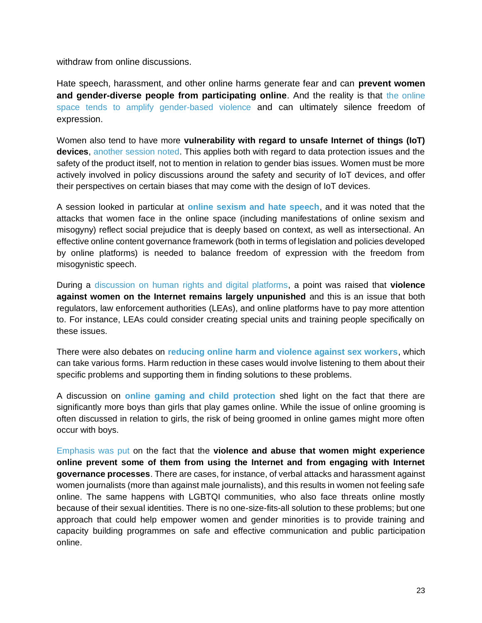withdraw from online discussions.

Hate speech, harassment, and other online harms generate fear and can **prevent women and gender-diverse people from participating online**. And the reality is that [the online](https://www.intgovforum.org/multilingual/content/igf-2019-%E2%80%93-day-2-%E2%80%93-estrel-saal-c-%E2%80%93-bpf-on-gender-internet-governance-session-at-the-berlin-0)  [space tends to amplify gender-based violence](https://www.intgovforum.org/multilingual/content/igf-2019-%E2%80%93-day-2-%E2%80%93-estrel-saal-c-%E2%80%93-bpf-on-gender-internet-governance-session-at-the-berlin-0) and can ultimately silence freedom of expression.

Women also tend to have more **vulnerability with regard to unsafe Internet of things (IoT) devices**, [another session noted.](https://www.intgovforum.org/multilingual/content/igf-2019-%E2%80%93-day-2-%E2%80%93-convention-hall-ii-%E2%80%93-the-future-of-iot-toward-more-secure-and-human-0) This applies both with regard to data protection issues and the safety of the product itself, not to mention in relation to gender bias issues. Women must be more actively involved in policy discussions around the safety and security of IoT devices, and offer their perspectives on certain biases that may come with the design of IoT devices.

A session looked in particular at **[online sexism and hate speech](https://www.intgovforum.org/multilingual/content/igf-2019-%E2%80%93-day-4-%E2%80%93-raum-v-%E2%80%93-ws-247-internet-de-tox-a-fail-proof-regimen-to-end-online-sexism)**, and it was noted that the attacks that women face in the online space (including manifestations of online sexism and misogyny) reflect social prejudice that is deeply based on context, as well as intersectional. An effective online content governance framework (both in terms of legislation and policies developed by online platforms) is needed to balance freedom of expression with the freedom from misogynistic speech.

During a [discussion on human rights and digital platforms,](https://www.intgovforum.org/multilingual/content/igf-2019-%E2%80%93-day-1-%E2%80%93-convention-hall-i-d-%E2%80%93-of-19-human-rights-and-digital-platforms-0) a point was raised that **violence against women on the Internet remains largely unpunished** and this is an issue that both regulators, law enforcement authorities (LEAs), and online platforms have to pay more attention to. For instance, LEAs could consider creating special units and training people specifically on these issues.

There were also debates on **[reducing online harm and violence against sex workers](https://www.intgovforum.org/multilingual/content/igf-2019-%E2%80%93-day-1-%E2%80%93-raum-iii-%E2%80%93-ws-389-sex-work-drug-use-harm-reduction-and-the-internet-0)**, which can take various forms. Harm reduction in these cases would involve listening to them about their specific problems and supporting them in finding solutions to these problems.

A discussion on **[online gaming and child protection](https://www.intgovforum.org/multilingual/content/igf-2019-%E2%80%93-day-1-%E2%80%93-estrel-saal-b-%E2%80%93-dc-how-to-balance-childrens-right-to-play-and-to-be)** shed light on the fact that there are significantly more boys than girls that play games online. While the issue of online grooming is often discussed in relation to girls, the risk of being groomed in online games might more often occur with boys.

[Emphasis was put](https://www.intgovforum.org/multilingual/content/igf-2019-%E2%80%93-day-1-%E2%80%93-saal-europa-%E2%80%93-nris-collaborative-session-on-human-rights-0) on the fact that the **violence and abuse that women might experience online prevent some of them from using the Internet and from engaging with Internet governance processes**. There are cases, for instance, of verbal attacks and harassment against women journalists (more than against male journalists), and this results in women not feeling safe online. The same happens with LGBTQI communities, who also face threats online mostly because of their sexual identities. There is no one-size-fits-all solution to these problems; but one approach that could help empower women and gender minorities is to provide training and capacity building programmes on safe and effective communication and public participation online.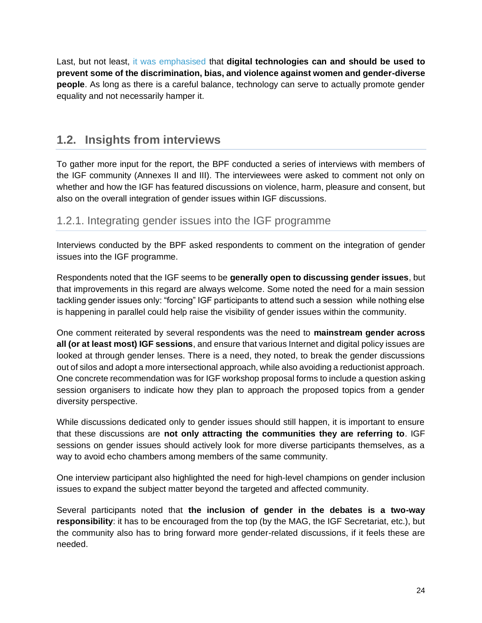Last, but not least, [it was emphasised](https://www.intgovforum.org/multilingual/content/igf-2019-%E2%80%93-day-4-%E2%80%93-convention-hall-i-c-%E2%80%93-of-32-equals-research-open-forum-on-gender-0) that **digital technologies can and should be used to prevent some of the discrimination, bias, and violence against women and gender-diverse people**. As long as there is a careful balance, technology can serve to actually promote gender equality and not necessarily hamper it.

### <span id="page-24-0"></span>**1.2. Insights from interviews**

To gather more input for the report, the BPF conducted a series of interviews with members of the IGF community (Annexes II and III). The interviewees were asked to comment not only on whether and how the IGF has featured discussions on violence, harm, pleasure and consent, but also on the overall integration of gender issues within IGF discussions.

#### <span id="page-24-1"></span>1.2.1. Integrating gender issues into the IGF programme

Interviews conducted by the BPF asked respondents to comment on the integration of gender issues into the IGF programme.

Respondents noted that the IGF seems to be **generally open to discussing gender issues**, but that improvements in this regard are always welcome. Some noted the need for a main session tackling gender issues only: "forcing" IGF participants to attend such a session while nothing else is happening in parallel could help raise the visibility of gender issues within the community.

One comment reiterated by several respondents was the need to **mainstream gender across all (or at least most) IGF sessions**, and ensure that various Internet and digital policy issues are looked at through gender lenses. There is a need, they noted, to break the gender discussions out of silos and adopt a more intersectional approach, while also avoiding a reductionist approach. One concrete recommendation was for IGF workshop proposal forms to include a question asking session organisers to indicate how they plan to approach the proposed topics from a gender diversity perspective.

While discussions dedicated only to gender issues should still happen, it is important to ensure that these discussions are **not only attracting the communities they are referring to**. IGF sessions on gender issues should actively look for more diverse participants themselves, as a way to avoid echo chambers among members of the same community.

One interview participant also highlighted the need for high-level champions on gender inclusion issues to expand the subject matter beyond the targeted and affected community.

Several participants noted that **the inclusion of gender in the debates is a two-way responsibility**: it has to be encouraged from the top (by the MAG, the IGF Secretariat, etc.), but the community also has to bring forward more gender-related discussions, if it feels these are needed.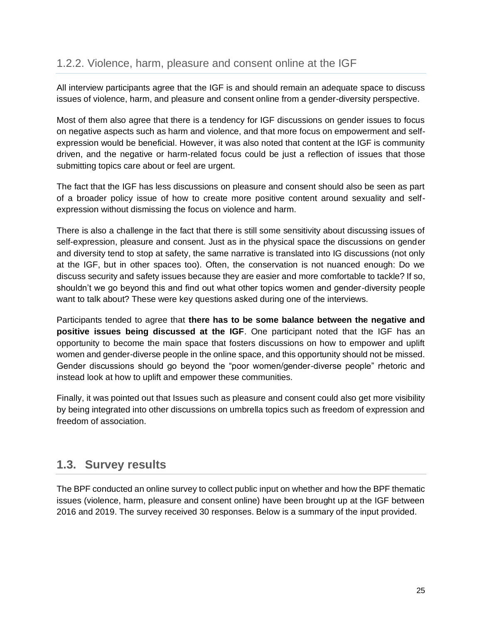<span id="page-25-0"></span>All interview participants agree that the IGF is and should remain an adequate space to discuss issues of violence, harm, and pleasure and consent online from a gender-diversity perspective.

Most of them also agree that there is a tendency for IGF discussions on gender issues to focus on negative aspects such as harm and violence, and that more focus on empowerment and selfexpression would be beneficial. However, it was also noted that content at the IGF is community driven, and the negative or harm-related focus could be just a reflection of issues that those submitting topics care about or feel are urgent.

The fact that the IGF has less discussions on pleasure and consent should also be seen as part of a broader policy issue of how to create more positive content around sexuality and selfexpression without dismissing the focus on violence and harm.

There is also a challenge in the fact that there is still some sensitivity about discussing issues of self-expression, pleasure and consent. Just as in the physical space the discussions on gender and diversity tend to stop at safety, the same narrative is translated into IG discussions (not only at the IGF, but in other spaces too). Often, the conservation is not nuanced enough: Do we discuss security and safety issues because they are easier and more comfortable to tackle? If so, shouldn't we go beyond this and find out what other topics women and gender-diversity people want to talk about? These were key questions asked during one of the interviews.

Participants tended to agree that **there has to be some balance between the negative and positive issues being discussed at the IGF**. One participant noted that the IGF has an opportunity to become the main space that fosters discussions on how to empower and uplift women and gender-diverse people in the online space, and this opportunity should not be missed. Gender discussions should go beyond the "poor women/gender-diverse people" rhetoric and instead look at how to uplift and empower these communities.

Finally, it was pointed out that Issues such as pleasure and consent could also get more visibility by being integrated into other discussions on umbrella topics such as freedom of expression and freedom of association.

### <span id="page-25-1"></span>**1.3. Survey results**

The BPF conducted an online survey to collect public input on whether and how the BPF thematic issues (violence, harm, pleasure and consent online) have been brought up at the IGF between 2016 and 2019. The survey received 30 responses. Below is a summary of the input provided.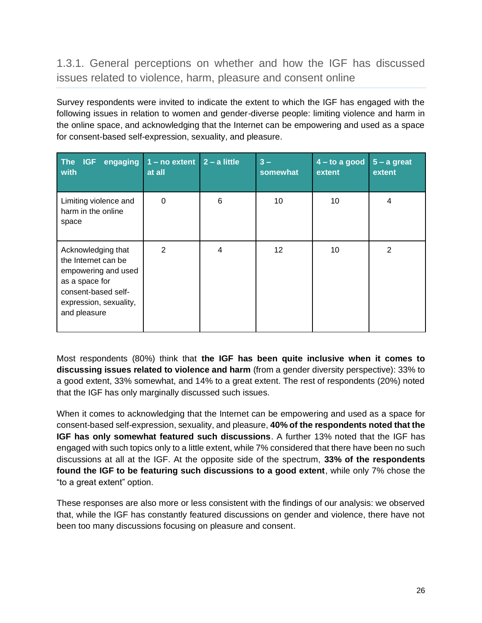<span id="page-26-0"></span>1.3.1. General perceptions on whether and how the IGF has discussed issues related to violence, harm, pleasure and consent online

Survey respondents were invited to indicate the extent to which the IGF has engaged with the following issues in relation to women and gender-diverse people: limiting violence and harm in the online space, and acknowledging that the Internet can be empowering and used as a space for consent-based self-expression, sexuality, and pleasure.

| The<br>engaging<br><b>IGF</b><br>with                                                                                                               | $1 - no$ extent $2 - a$ little<br>at all |   | $3 -$<br>somewhat | $4 -$ to a good<br>extent | $5 - a$ great<br>extent |
|-----------------------------------------------------------------------------------------------------------------------------------------------------|------------------------------------------|---|-------------------|---------------------------|-------------------------|
| Limiting violence and<br>harm in the online<br>space                                                                                                | 0                                        | 6 | 10                | 10                        | 4                       |
| Acknowledging that<br>the Internet can be<br>empowering and used<br>as a space for<br>consent-based self-<br>expression, sexuality,<br>and pleasure | $\overline{2}$                           | 4 | 12                | 10                        | 2                       |

Most respondents (80%) think that **the IGF has been quite inclusive when it comes to discussing issues related to violence and harm** (from a gender diversity perspective): 33% to a good extent, 33% somewhat, and 14% to a great extent. The rest of respondents (20%) noted that the IGF has only marginally discussed such issues.

When it comes to acknowledging that the Internet can be empowering and used as a space for consent-based self-expression, sexuality, and pleasure, **40% of the respondents noted that the IGF has only somewhat featured such discussions**. A further 13% noted that the IGF has engaged with such topics only to a little extent, while 7% considered that there have been no such discussions at all at the IGF. At the opposite side of the spectrum, **33% of the respondents found the IGF to be featuring such discussions to a good extent**, while only 7% chose the "to a great extent" option.

These responses are also more or less consistent with the findings of our analysis: we observed that, while the IGF has constantly featured discussions on gender and violence, there have not been too many discussions focusing on pleasure and consent.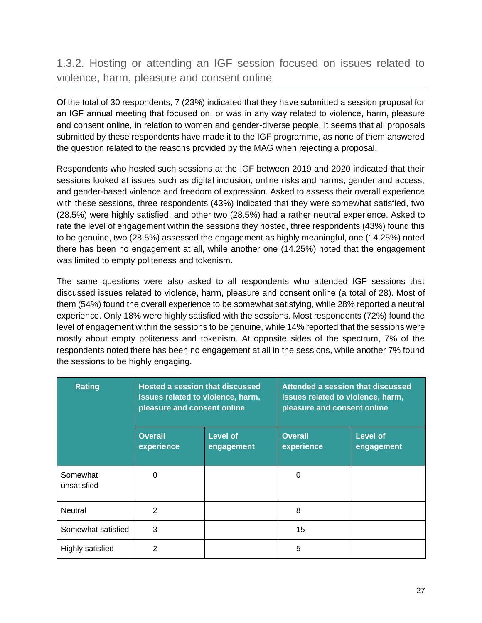### <span id="page-27-0"></span>1.3.2. Hosting or attending an IGF session focused on issues related to violence, harm, pleasure and consent online

Of the total of 30 respondents, 7 (23%) indicated that they have submitted a session proposal for an IGF annual meeting that focused on, or was in any way related to violence, harm, pleasure and consent online, in relation to women and gender-diverse people. It seems that all proposals submitted by these respondents have made it to the IGF programme, as none of them answered the question related to the reasons provided by the MAG when rejecting a proposal.

Respondents who hosted such sessions at the IGF between 2019 and 2020 indicated that their sessions looked at issues such as digital inclusion, online risks and harms, gender and access, and gender-based violence and freedom of expression. Asked to assess their overall experience with these sessions, three respondents (43%) indicated that they were somewhat satisfied, two (28.5%) were highly satisfied, and other two (28.5%) had a rather neutral experience. Asked to rate the level of engagement within the sessions they hosted, three respondents (43%) found this to be genuine, two (28.5%) assessed the engagement as highly meaningful, one (14.25%) noted there has been no engagement at all, while another one (14.25%) noted that the engagement was limited to empty politeness and tokenism.

The same questions were also asked to all respondents who attended IGF sessions that discussed issues related to violence, harm, pleasure and consent online (a total of 28). Most of them (54%) found the overall experience to be somewhat satisfying, while 28% reported a neutral experience. Only 18% were highly satisfied with the sessions. Most respondents (72%) found the level of engagement within the sessions to be genuine, while 14% reported that the sessions were mostly about empty politeness and tokenism. At opposite sides of the spectrum, 7% of the respondents noted there has been no engagement at all in the sessions, while another 7% found the sessions to be highly engaging.

| <b>Rating</b>           | <b>Hosted a session that discussed</b><br>issues related to violence, harm,<br>pleasure and consent online |                        | Attended a session that discussed<br>issues related to violence, harm,<br>pleasure and consent online |                               |
|-------------------------|------------------------------------------------------------------------------------------------------------|------------------------|-------------------------------------------------------------------------------------------------------|-------------------------------|
|                         | <b>Overall</b><br>experience                                                                               | Level of<br>engagement | <b>Overall</b><br>experience                                                                          | <b>Level of</b><br>engagement |
| Somewhat<br>unsatisfied | <sup>0</sup>                                                                                               |                        | $\Omega$                                                                                              |                               |
| Neutral                 | $\mathcal{P}$                                                                                              |                        | 8                                                                                                     |                               |
| Somewhat satisfied      | 3                                                                                                          |                        | 15                                                                                                    |                               |
| Highly satisfied        | 2                                                                                                          |                        | 5                                                                                                     |                               |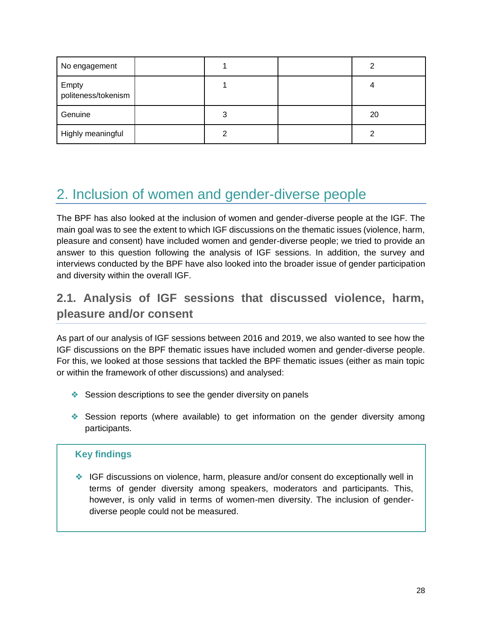| No engagement                |   |    |
|------------------------------|---|----|
| Empty<br>politeness/tokenism |   |    |
| Genuine                      | 3 | 20 |
| Highly meaningful            | 2 |    |

## <span id="page-28-0"></span>2. Inclusion of women and gender-diverse people

The BPF has also looked at the inclusion of women and gender-diverse people at the IGF. The main goal was to see the extent to which IGF discussions on the thematic issues (violence, harm, pleasure and consent) have included women and gender-diverse people; we tried to provide an answer to this question following the analysis of IGF sessions. In addition, the survey and interviews conducted by the BPF have also looked into the broader issue of gender participation and diversity within the overall IGF.

### <span id="page-28-1"></span>**2.1. Analysis of IGF sessions that discussed violence, harm, pleasure and/or consent**

As part of our analysis of IGF sessions between 2016 and 2019, we also wanted to see how the IGF discussions on the BPF thematic issues have included women and gender-diverse people. For this, we looked at those sessions that tackled the BPF thematic issues (either as main topic or within the framework of other discussions) and analysed:

- ❖ Session descriptions to see the gender diversity on panels
- ❖ Session reports (where available) to get information on the gender diversity among participants.

#### **Key findings**

❖ IGF discussions on violence, harm, pleasure and/or consent do exceptionally well in terms of gender diversity among speakers, moderators and participants. This, however, is only valid in terms of women-men diversity. The inclusion of genderdiverse people could not be measured.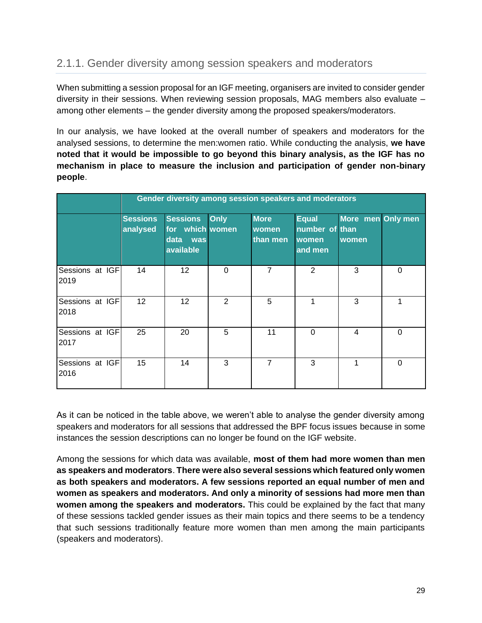### <span id="page-29-0"></span>2.1.1. Gender diversity among session speakers and moderators

When submitting a session proposal for an IGF meeting, organisers are invited to consider gender diversity in their sessions. When reviewing session proposals, MAG members also evaluate – among other elements – the gender diversity among the proposed speakers/moderators.

In our analysis, we have looked at the overall number of speakers and moderators for the analysed sessions, to determine the men:women ratio. While conducting the analysis, **we have noted that it would be impossible to go beyond this binary analysis, as the IGF has no mechanism in place to measure the inclusion and participation of gender non-binary people**.

|                         |                             | Gender diversity among session speakers and moderators         |             |                                         |                                                    |                            |          |  |
|-------------------------|-----------------------------|----------------------------------------------------------------|-------------|-----------------------------------------|----------------------------------------------------|----------------------------|----------|--|
|                         | <b>Sessions</b><br>analysed | <b>Sessions</b><br>for which women<br>data<br>was<br>available | <b>Only</b> | <b>More</b><br><b>women</b><br>than men | <b>Equal</b><br>number of than<br>women<br>and men | More men Only men<br>women |          |  |
| Sessions at IGF<br>2019 | 14                          | 12 <sub>2</sub>                                                | $\Omega$    | 7                                       | 2                                                  | 3                          | $\Omega$ |  |
| Sessions at IGF<br>2018 | 12 <sup>2</sup>             | 12 <sup>2</sup>                                                | 2           | 5                                       | 1                                                  | 3                          | 1        |  |
| Sessions at IGF<br>2017 | 25                          | 20                                                             | 5           | 11                                      | $\Omega$                                           | 4                          | 0        |  |
| Sessions at IGF<br>2016 | 15                          | 14                                                             | 3           | 7                                       | 3                                                  | 1                          | $\Omega$ |  |

As it can be noticed in the table above, we weren't able to analyse the gender diversity among speakers and moderators for all sessions that addressed the BPF focus issues because in some instances the session descriptions can no longer be found on the IGF website.

Among the sessions for which data was available, **most of them had more women than men as speakers and moderators**. **There were also several sessions which featured only women as both speakers and moderators. A few sessions reported an equal number of men and women as speakers and moderators. And only a minority of sessions had more men than women among the speakers and moderators.** This could be explained by the fact that many of these sessions tackled gender issues as their main topics and there seems to be a tendency that such sessions traditionally feature more women than men among the main participants (speakers and moderators).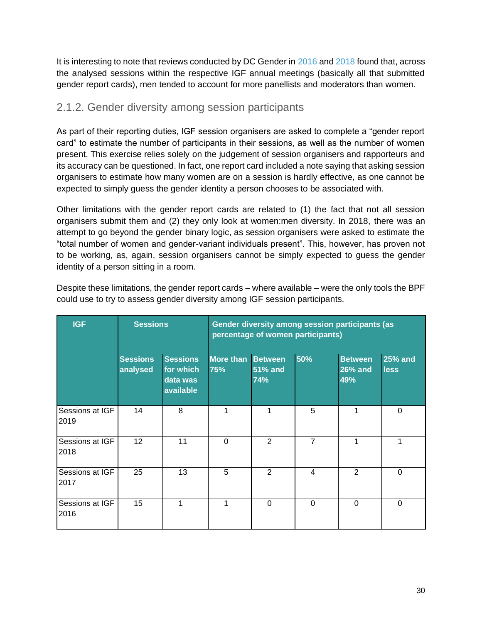It is interesting to note that reviews conducted by DC Gender in [2016](https://www.intgovforum.org/multilingual/index.php?q=filedepot_download/4486/1239) an[d 2018](https://www.intgovforum.org/multilingual/filedepot_download/4486/2050) found that, across the analysed sessions within the respective IGF annual meetings (basically all that submitted gender report cards), men tended to account for more panellists and moderators than women.

### <span id="page-30-0"></span>2.1.2. Gender diversity among session participants

As part of their reporting duties, IGF session organisers are asked to complete a "gender report card" to estimate the number of participants in their sessions, as well as the number of women present. This exercise relies solely on the judgement of session organisers and rapporteurs and its accuracy can be questioned. In fact, one report card included a note saying that asking session organisers to estimate how many women are on a session is hardly effective, as one cannot be expected to simply guess the gender identity a person chooses to be associated with.

Other limitations with the gender report cards are related to (1) the fact that not all session organisers submit them and (2) they only look at women:men diversity. In 2018, there was an attempt to go beyond the gender binary logic, as session organisers were asked to estimate the "total number of women and gender-variant individuals present". This, however, has proven not to be working, as, again, session organisers cannot be simply expected to guess the gender identity of a person sitting in a room.

| <b>IGF</b>              | <b>Sessions</b>             |                                                       | Gender diversity among session participants (as<br>percentage of women participants) |                                         |                |                                         |                               |
|-------------------------|-----------------------------|-------------------------------------------------------|--------------------------------------------------------------------------------------|-----------------------------------------|----------------|-----------------------------------------|-------------------------------|
|                         | <b>Sessions</b><br>analysed | <b>Sessions</b><br>for which<br>data was<br>available | <b>More than</b><br>75%                                                              | <b>Between</b><br><b>51% and</b><br>74% | 50%            | <b>Between</b><br><b>26% and</b><br>49% | <b>25% and</b><br><b>less</b> |
| Sessions at IGF<br>2019 | 14                          | 8                                                     | 1                                                                                    |                                         | 5              |                                         | 0                             |
| Sessions at IGF<br>2018 | 12                          | 11                                                    | $\Omega$                                                                             | 2                                       | $\overline{7}$ | 1                                       | 1                             |
| Sessions at IGF<br>2017 | 25                          | 13                                                    | 5                                                                                    | $\overline{2}$                          | 4              | $\overline{2}$                          | $\Omega$                      |
| Sessions at IGF<br>2016 | 15                          |                                                       | 1                                                                                    | $\mathbf 0$                             | $\mathbf 0$    | $\Omega$                                | $\Omega$                      |

Despite these limitations, the gender report cards – where available – were the only tools the BPF could use to try to assess gender diversity among IGF session participants.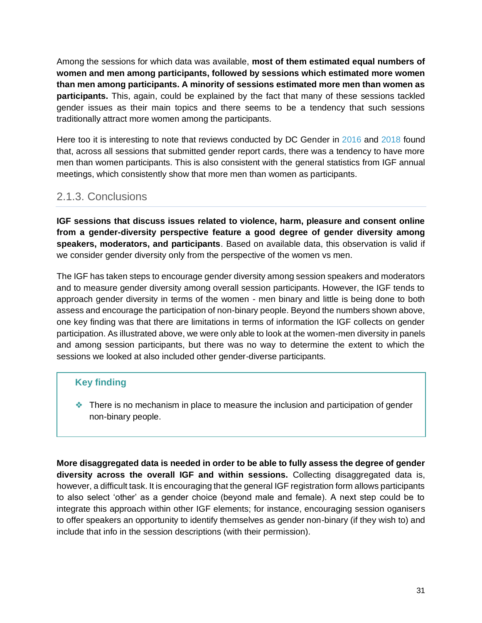Among the sessions for which data was available, **most of them estimated equal numbers of women and men among participants, followed by sessions which estimated more women than men among participants. A minority of sessions estimated more men than women as participants.** This, again, could be explained by the fact that many of these sessions tackled gender issues as their main topics and there seems to be a tendency that such sessions traditionally attract more women among the participants.

Here too it is interesting to note that reviews conducted by DC Gender in [2016](https://www.intgovforum.org/multilingual/index.php?q=filedepot_download/4486/1239) and [2018](https://www.intgovforum.org/multilingual/filedepot_download/4486/2050) found that, across all sessions that submitted gender report cards, there was a tendency to have more men than women participants. This is also consistent with the general statistics from IGF annual meetings, which consistently show that more men than women as participants.

### <span id="page-31-0"></span>2.1.3. Conclusions

**IGF sessions that discuss issues related to violence, harm, pleasure and consent online from a gender-diversity perspective feature a good degree of gender diversity among speakers, moderators, and participants**. Based on available data, this observation is valid if we consider gender diversity only from the perspective of the women vs men.

The IGF has taken steps to encourage gender diversity among session speakers and moderators and to measure gender diversity among overall session participants. However, the IGF tends to approach gender diversity in terms of the women - men binary and little is being done to both assess and encourage the participation of non-binary people. Beyond the numbers shown above, one key finding was that there are limitations in terms of information the IGF collects on gender participation. As illustrated above, we were only able to look at the women-men diversity in panels and among session participants, but there was no way to determine the extent to which the sessions we looked at also included other gender-diverse participants.

#### **Key finding**

❖ There is no mechanism in place to measure the inclusion and participation of gender non-binary people.

**More disaggregated data is needed in order to be able to fully assess the degree of gender diversity across the overall IGF and within sessions.** Collecting disaggregated data is, however, a difficult task. It is encouraging that the general IGF registration form allows participants to also select 'other' as a gender choice (beyond male and female). A next step could be to integrate this approach within other IGF elements; for instance, encouraging session oganisers to offer speakers an opportunity to identify themselves as gender non-binary (if they wish to) and include that info in the session descriptions (with their permission).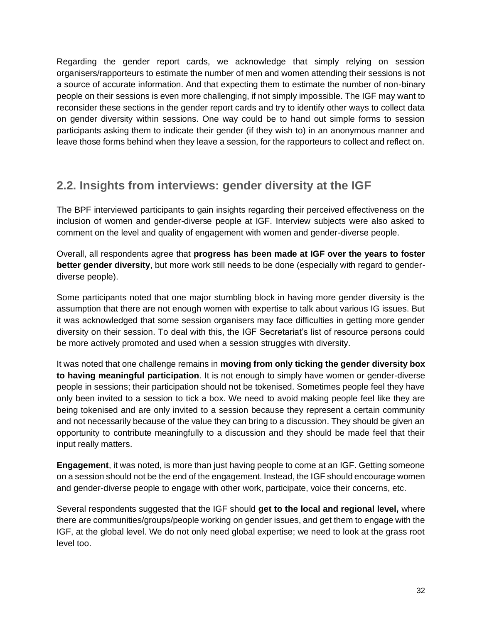Regarding the gender report cards, we acknowledge that simply relying on session organisers/rapporteurs to estimate the number of men and women attending their sessions is not a source of accurate information. And that expecting them to estimate the number of non-binary people on their sessions is even more challenging, if not simply impossible. The IGF may want to reconsider these sections in the gender report cards and try to identify other ways to collect data on gender diversity within sessions. One way could be to hand out simple forms to session participants asking them to indicate their gender (if they wish to) in an anonymous manner and leave those forms behind when they leave a session, for the rapporteurs to collect and reflect on.

### <span id="page-32-0"></span>**2.2. Insights from interviews: gender diversity at the IGF**

The BPF interviewed participants to gain insights regarding their perceived effectiveness on the inclusion of women and gender-diverse people at IGF. Interview subjects were also asked to comment on the level and quality of engagement with women and gender-diverse people.

Overall, all respondents agree that **progress has been made at IGF over the years to foster better gender diversity**, but more work still needs to be done (especially with regard to genderdiverse people).

Some participants noted that one major stumbling block in having more gender diversity is the assumption that there are not enough women with expertise to talk about various IG issues. But it was acknowledged that some session organisers may face difficulties in getting more gender diversity on their session. To deal with this, the IGF Secretariat's list of resource persons could be more actively promoted and used when a session struggles with diversity.

It was noted that one challenge remains in **moving from only ticking the gender diversity box to having meaningful participation**. It is not enough to simply have women or gender-diverse people in sessions; their participation should not be tokenised. Sometimes people feel they have only been invited to a session to tick a box. We need to avoid making people feel like they are being tokenised and are only invited to a session because they represent a certain community and not necessarily because of the value they can bring to a discussion. They should be given an opportunity to contribute meaningfully to a discussion and they should be made feel that their input really matters.

**Engagement**, it was noted, is more than just having people to come at an IGF. Getting someone on a session should not be the end of the engagement. Instead, the IGF should encourage women and gender-diverse people to engage with other work, participate, voice their concerns, etc.

Several respondents suggested that the IGF should **get to the local and regional level,** where there are communities/groups/people working on gender issues, and get them to engage with the IGF, at the global level. We do not only need global expertise; we need to look at the grass root level too.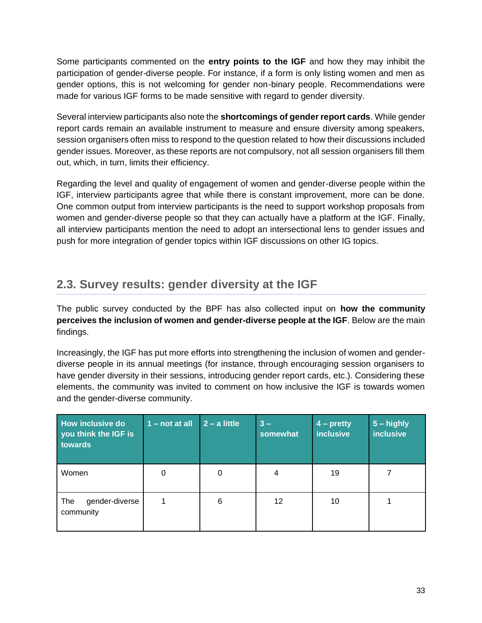Some participants commented on the **entry points to the IGF** and how they may inhibit the participation of gender-diverse people. For instance, if a form is only listing women and men as gender options, this is not welcoming for gender non-binary people. Recommendations were made for various IGF forms to be made sensitive with regard to gender diversity.

Several interview participants also note the **shortcomings of gender report cards**. While gender report cards remain an available instrument to measure and ensure diversity among speakers, session organisers often miss to respond to the question related to how their discussions included gender issues. Moreover, as these reports are not compulsory, not all session organisers fill them out, which, in turn, limits their efficiency.

Regarding the level and quality of engagement of women and gender-diverse people within the IGF, interview participants agree that while there is constant improvement, more can be done. One common output from interview participants is the need to support workshop proposals from women and gender-diverse people so that they can actually have a platform at the IGF. Finally, all interview participants mention the need to adopt an intersectional lens to gender issues and push for more integration of gender topics within IGF discussions on other IG topics.

### <span id="page-33-0"></span>**2.3. Survey results: gender diversity at the IGF**

The public survey conducted by the BPF has also collected input on **how the community perceives the inclusion of women and gender-diverse people at the IGF**. Below are the main findings.

Increasingly, the IGF has put more efforts into strengthening the inclusion of women and genderdiverse people in its annual meetings (for instance, through encouraging session organisers to have gender diversity in their sessions, introducing gender report cards, etc.). Considering these elements, the community was invited to comment on how inclusive the IGF is towards women and the gender-diverse community.

| How inclusive do<br>you think the IGF is<br>towards | $1 - not at all$ | $2 - a$ little | $3 -$<br>somewhat | $4$ – pretty<br><b>inclusive</b> | $5 -$ highly<br><b>inclusive</b> |
|-----------------------------------------------------|------------------|----------------|-------------------|----------------------------------|----------------------------------|
| Women                                               | 0                | 0              | 4                 | 19                               |                                  |
| gender-diverse<br>The<br>community                  |                  | 6              | 12                | 10                               |                                  |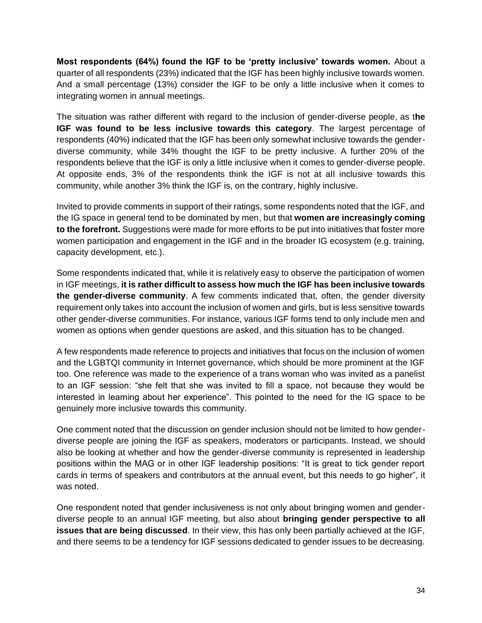**Most respondents (64%) found the IGF to be 'pretty inclusive' towards women.** About a quarter of all respondents (23%) indicated that the IGF has been highly inclusive towards women. And a small percentage (13%) consider the IGF to be only a little inclusive when it comes to integrating women in annual meetings.

The situation was rather different with regard to the inclusion of gender-diverse people, as t**he IGF was found to be less inclusive towards this category**. The largest percentage of respondents (40%) indicated that the IGF has been only somewhat inclusive towards the genderdiverse community, while 34% thought the IGF to be pretty inclusive. A further 20% of the respondents believe that the IGF is only a little inclusive when it comes to gender-diverse people. At opposite ends, 3% of the respondents think the IGF is not at all inclusive towards this community, while another 3% think the IGF is, on the contrary, highly inclusive.

Invited to provide comments in support of their ratings, some respondents noted that the IGF, and the IG space in general tend to be dominated by men, but that **women are increasingly coming to the forefront.** Suggestions were made for more efforts to be put into initiatives that foster more women participation and engagement in the IGF and in the broader IG ecosystem (e.g. training, capacity development, etc.).

Some respondents indicated that, while it is relatively easy to observe the participation of women in IGF meetings, **it is rather difficult to assess how much the IGF has been inclusive towards the gender-diverse community**. A few comments indicated that, often, the gender diversity requirement only takes into account the inclusion of women and girls, but is less sensitive towards other gender-diverse communities. For instance, various IGF forms tend to only include men and women as options when gender questions are asked, and this situation has to be changed.

A few respondents made reference to projects and initiatives that focus on the inclusion of women and the LGBTQI community in Internet governance, which should be more prominent at the IGF too. One reference was made to the experience of a trans woman who was invited as a panelist to an IGF session: "she felt that she was invited to fill a space, not because they would be interested in learning about her experience". This pointed to the need for the IG space to be genuinely more inclusive towards this community.

One comment noted that the discussion on gender inclusion should not be limited to how genderdiverse people are joining the IGF as speakers, moderators or participants. Instead, we should also be looking at whether and how the gender-diverse community is represented in leadership positions within the MAG or in other IGF leadership positions: "It is great to tick gender report cards in terms of speakers and contributors at the annual event, but this needs to go higher", it was noted.

One respondent noted that gender inclusiveness is not only about bringing women and genderdiverse people to an annual IGF meeting, but also about **bringing gender perspective to all issues that are being discussed**. In their view, this has only been partially achieved at the IGF, and there seems to be a tendency for IGF sessions dedicated to gender issues to be decreasing.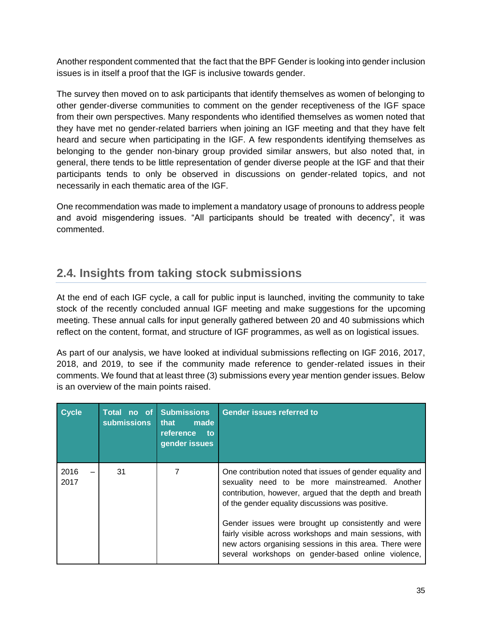Another respondent commented that the fact that the BPF Gender is looking into gender inclusion issues is in itself a proof that the IGF is inclusive towards gender.

The survey then moved on to ask participants that identify themselves as women of belonging to other gender-diverse communities to comment on the gender receptiveness of the IGF space from their own perspectives. Many respondents who identified themselves as women noted that they have met no gender-related barriers when joining an IGF meeting and that they have felt heard and secure when participating in the IGF. A few respondents identifying themselves as belonging to the gender non-binary group provided similar answers, but also noted that, in general, there tends to be little representation of gender diverse people at the IGF and that their participants tends to only be observed in discussions on gender-related topics, and not necessarily in each thematic area of the IGF.

One recommendation was made to implement a mandatory usage of pronouns to address people and avoid misgendering issues. "All participants should be treated with decency", it was commented.

### <span id="page-35-0"></span>**2.4. Insights from taking stock submissions**

At the end of each IGF cycle, a call for public input is launched, inviting the community to take stock of the recently concluded annual IGF meeting and make suggestions for the upcoming meeting. These annual calls for input generally gathered between 20 and 40 submissions which reflect on the content, format, and structure of IGF programmes, as well as on logistical issues.

As part of our analysis, we have looked at individual submissions reflecting on IGF 2016, 2017, 2018, and 2019, to see if the community made reference to gender-related issues in their comments. We found that at least three (3) submissions every year mention gender issues. Below is an overview of the main points raised.

| <b>Cycle</b> | no of<br>Total<br><b>submissions</b> | <b>Submissions</b><br>made<br>that<br>reference<br>to<br>gender issues | <b>Gender issues referred to</b>                                                                                                                                                                                                |
|--------------|--------------------------------------|------------------------------------------------------------------------|---------------------------------------------------------------------------------------------------------------------------------------------------------------------------------------------------------------------------------|
| 2016<br>2017 | 31                                   |                                                                        | One contribution noted that issues of gender equality and<br>sexuality need to be more mainstreamed. Another<br>contribution, however, argued that the depth and breath<br>of the gender equality discussions was positive.     |
|              |                                      |                                                                        | Gender issues were brought up consistently and were<br>fairly visible across workshops and main sessions, with<br>new actors organising sessions in this area. There were<br>several workshops on gender-based online violence, |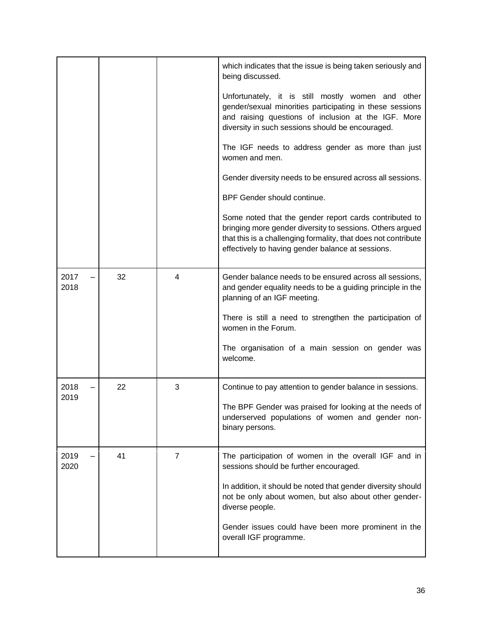|              |    |   | which indicates that the issue is being taken seriously and<br>being discussed.                                                                                                                                                            |
|--------------|----|---|--------------------------------------------------------------------------------------------------------------------------------------------------------------------------------------------------------------------------------------------|
|              |    |   | Unfortunately, it is still mostly women and other<br>gender/sexual minorities participating in these sessions<br>and raising questions of inclusion at the IGF. More<br>diversity in such sessions should be encouraged.                   |
|              |    |   | The IGF needs to address gender as more than just<br>women and men.                                                                                                                                                                        |
|              |    |   | Gender diversity needs to be ensured across all sessions.                                                                                                                                                                                  |
|              |    |   | BPF Gender should continue.                                                                                                                                                                                                                |
|              |    |   | Some noted that the gender report cards contributed to<br>bringing more gender diversity to sessions. Others argued<br>that this is a challenging formality, that does not contribute<br>effectively to having gender balance at sessions. |
| 2017<br>2018 | 32 | 4 | Gender balance needs to be ensured across all sessions,<br>and gender equality needs to be a guiding principle in the<br>planning of an IGF meeting.                                                                                       |
|              |    |   | There is still a need to strengthen the participation of<br>women in the Forum.                                                                                                                                                            |
|              |    |   | The organisation of a main session on gender was<br>welcome.                                                                                                                                                                               |
| 2018         | 22 | 3 | Continue to pay attention to gender balance in sessions.                                                                                                                                                                                   |
| 2019         |    |   | The BPF Gender was praised for looking at the needs of<br>underserved populations of women and gender non-<br>binary persons.                                                                                                              |
| 2019<br>2020 | 41 | 7 | The participation of women in the overall IGF and in<br>sessions should be further encouraged.                                                                                                                                             |
|              |    |   | In addition, it should be noted that gender diversity should<br>not be only about women, but also about other gender-<br>diverse people.                                                                                                   |
|              |    |   | Gender issues could have been more prominent in the<br>overall IGF programme.                                                                                                                                                              |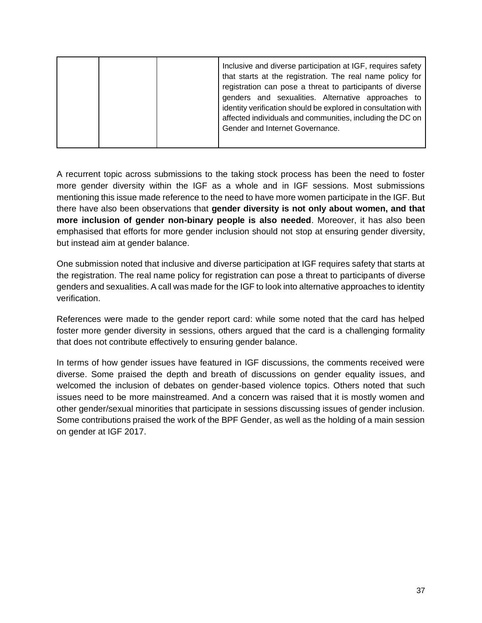A recurrent topic across submissions to the taking stock process has been the need to foster more gender diversity within the IGF as a whole and in IGF sessions. Most submissions mentioning this issue made reference to the need to have more women participate in the IGF. But there have also been observations that **gender diversity is not only about women, and that more inclusion of gender non-binary people is also needed**. Moreover, it has also been emphasised that efforts for more gender inclusion should not stop at ensuring gender diversity, but instead aim at gender balance.

One submission noted that inclusive and diverse participation at IGF requires safety that starts at the registration. The real name policy for registration can pose a threat to participants of diverse genders and sexualities. A call was made for the IGF to look into alternative approaches to identity verification.

References were made to the gender report card: while some noted that the card has helped foster more gender diversity in sessions, others argued that the card is a challenging formality that does not contribute effectively to ensuring gender balance.

In terms of how gender issues have featured in IGF discussions, the comments received were diverse. Some praised the depth and breath of discussions on gender equality issues, and welcomed the inclusion of debates on gender-based violence topics. Others noted that such issues need to be more mainstreamed. And a concern was raised that it is mostly women and other gender/sexual minorities that participate in sessions discussing issues of gender inclusion. Some contributions praised the work of the BPF Gender, as well as the holding of a main session on gender at IGF 2017.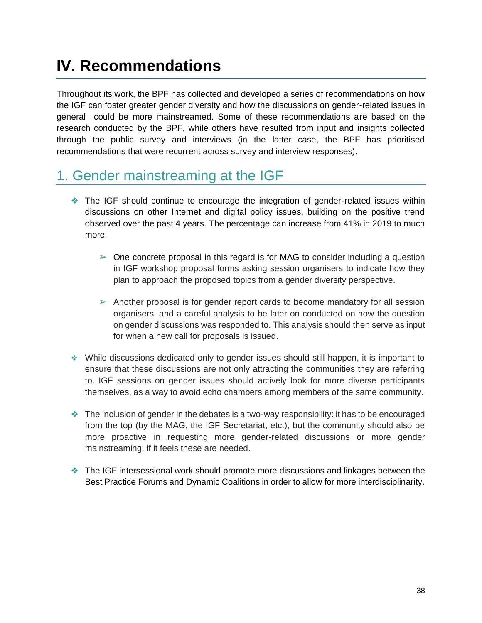## <span id="page-38-0"></span>**IV. Recommendations**

Throughout its work, the BPF has collected and developed a series of recommendations on how the IGF can foster greater gender diversity and how the discussions on gender-related issues in general could be more mainstreamed. Some of these recommendations are based on the research conducted by the BPF, while others have resulted from input and insights collected through the public survey and interviews (in the latter case, the BPF has prioritised recommendations that were recurrent across survey and interview responses).

## <span id="page-38-1"></span>1. Gender mainstreaming at the IGF

- ❖ The IGF should continue to encourage the integration of gender-related issues within discussions on other Internet and digital policy issues, building on the positive trend observed over the past 4 years. The percentage can increase from 41% in 2019 to much more.
	- $\triangleright$  One concrete proposal in this regard is for MAG to consider including a question in IGF workshop proposal forms asking session organisers to indicate how they plan to approach the proposed topics from a gender diversity perspective.
	- $\triangleright$  Another proposal is for gender report cards to become mandatory for all session organisers, and a careful analysis to be later on conducted on how the question on gender discussions was responded to. This analysis should then serve as input for when a new call for proposals is issued.
- ❖ While discussions dedicated only to gender issues should still happen, it is important to ensure that these discussions are not only attracting the communities they are referring to. IGF sessions on gender issues should actively look for more diverse participants themselves, as a way to avoid echo chambers among members of the same community.
- $\bullet$  The inclusion of gender in the debates is a two-way responsibility: it has to be encouraged from the top (by the MAG, the IGF Secretariat, etc.), but the community should also be more proactive in requesting more gender-related discussions or more gender mainstreaming, if it feels these are needed.
- ❖ The IGF intersessional work should promote more discussions and linkages between the Best Practice Forums and Dynamic Coalitions in order to allow for more interdisciplinarity.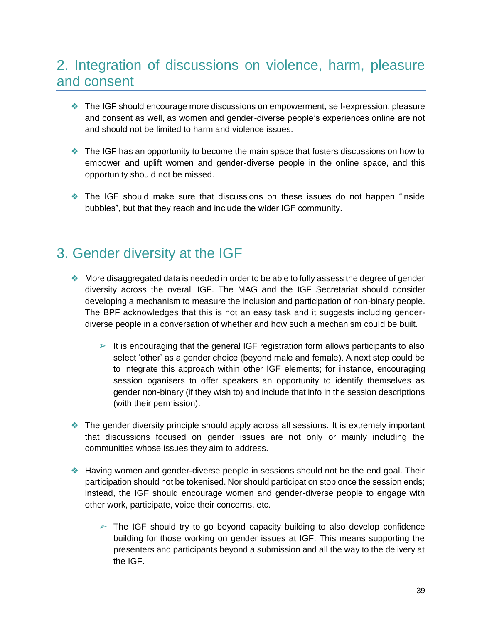### <span id="page-39-0"></span>2. Integration of discussions on violence, harm, pleasure and consent

- ❖ The IGF should encourage more discussions on empowerment, self-expression, pleasure and consent as well, as women and gender-diverse people's experiences online are not and should not be limited to harm and violence issues.
- ❖ The IGF has an opportunity to become the main space that fosters discussions on how to empower and uplift women and gender-diverse people in the online space, and this opportunity should not be missed.
- ❖ The IGF should make sure that discussions on these issues do not happen "inside bubbles", but that they reach and include the wider IGF community.

### <span id="page-39-1"></span>3. Gender diversity at the IGF

- ❖ More disaggregated data is needed in order to be able to fully assess the degree of gender diversity across the overall IGF. The MAG and the IGF Secretariat should consider developing a mechanism to measure the inclusion and participation of non-binary people. The BPF acknowledges that this is not an easy task and it suggests including genderdiverse people in a conversation of whether and how such a mechanism could be built.
	- $\triangleright$  It is encouraging that the general IGF registration form allows participants to also select 'other' as a gender choice (beyond male and female). A next step could be to integrate this approach within other IGF elements; for instance, encouraging session oganisers to offer speakers an opportunity to identify themselves as gender non-binary (if they wish to) and include that info in the session descriptions (with their permission).
- ❖ The gender diversity principle should apply across all sessions. It is extremely important that discussions focused on gender issues are not only or mainly including the communities whose issues they aim to address.
- ❖ Having women and gender-diverse people in sessions should not be the end goal. Their participation should not be tokenised. Nor should participation stop once the session ends; instead, the IGF should encourage women and gender-diverse people to engage with other work, participate, voice their concerns, etc.
	- $\triangleright$  The IGF should try to go beyond capacity building to also develop confidence building for those working on gender issues at IGF. This means supporting the presenters and participants beyond a submission and all the way to the delivery at the IGF.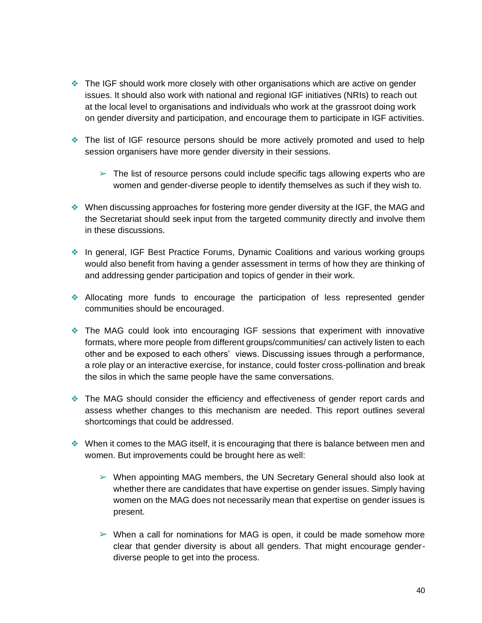- ❖ The IGF should work more closely with other organisations which are active on gender issues. It should also work with national and regional IGF initiatives (NRIs) to reach out at the local level to organisations and individuals who work at the grassroot doing work on gender diversity and participation, and encourage them to participate in IGF activities.
- ❖ The list of IGF resource persons should be more actively promoted and used to help session organisers have more gender diversity in their sessions.
	- $\triangleright$  The list of resource persons could include specific tags allowing experts who are women and gender-diverse people to identify themselves as such if they wish to.
- ❖ When discussing approaches for fostering more gender diversity at the IGF, the MAG and the Secretariat should seek input from the targeted community directly and involve them in these discussions.
- ❖ In general, IGF Best Practice Forums, Dynamic Coalitions and various working groups would also benefit from having a gender assessment in terms of how they are thinking of and addressing gender participation and topics of gender in their work.
- ❖ Allocating more funds to encourage the participation of less represented gender communities should be encouraged.
- ❖ The MAG could look into encouraging IGF sessions that experiment with innovative formats, where more people from different groups/communities/ can actively listen to each other and be exposed to each others' views. Discussing issues through a performance, a role play or an interactive exercise, for instance, could foster cross-pollination and break the silos in which the same people have the same conversations.
- ❖ The MAG should consider the efficiency and effectiveness of gender report cards and assess whether changes to this mechanism are needed. This report outlines several shortcomings that could be addressed.
- ❖ When it comes to the MAG itself, it is encouraging that there is balance between men and women. But improvements could be brought here as well:
	- $\triangleright$  When appointing MAG members, the UN Secretary General should also look at whether there are candidates that have expertise on gender issues. Simply having women on the MAG does not necessarily mean that expertise on gender issues is present.
	- $\triangleright$  When a call for nominations for MAG is open, it could be made somehow more clear that gender diversity is about all genders. That might encourage genderdiverse people to get into the process.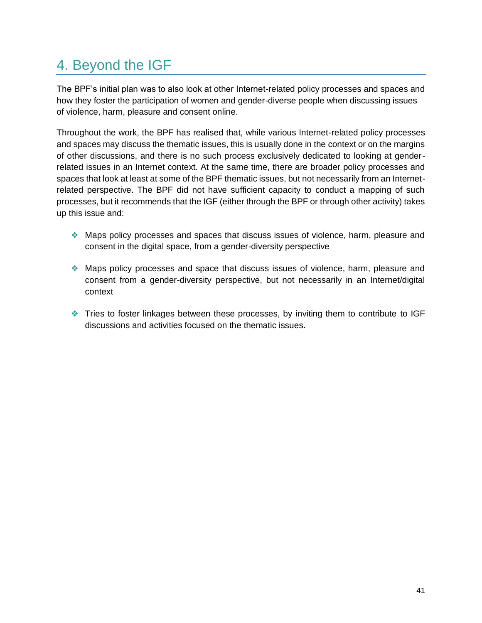## <span id="page-41-0"></span>4. Beyond the IGF

The BPF's initial plan was to also look at other Internet-related policy processes and spaces and how they foster the participation of women and gender-diverse people when discussing issues of violence, harm, pleasure and consent online.

Throughout the work, the BPF has realised that, while various Internet-related policy processes and spaces may discuss the thematic issues, this is usually done in the context or on the margins of other discussions, and there is no such process exclusively dedicated to looking at genderrelated issues in an Internet context. At the same time, there are broader policy processes and spaces that look at least at some of the BPF thematic issues, but not necessarily from an Internetrelated perspective. The BPF did not have sufficient capacity to conduct a mapping of such processes, but it recommends that the IGF (either through the BPF or through other activity) takes up this issue and:

- ❖ Maps policy processes and spaces that discuss issues of violence, harm, pleasure and consent in the digital space, from a gender-diversity perspective
- ❖ Maps policy processes and space that discuss issues of violence, harm, pleasure and consent from a gender-diversity perspective, but not necessarily in an Internet/digital context
- ❖ Tries to foster linkages between these processes, by inviting them to contribute to IGF discussions and activities focused on the thematic issues.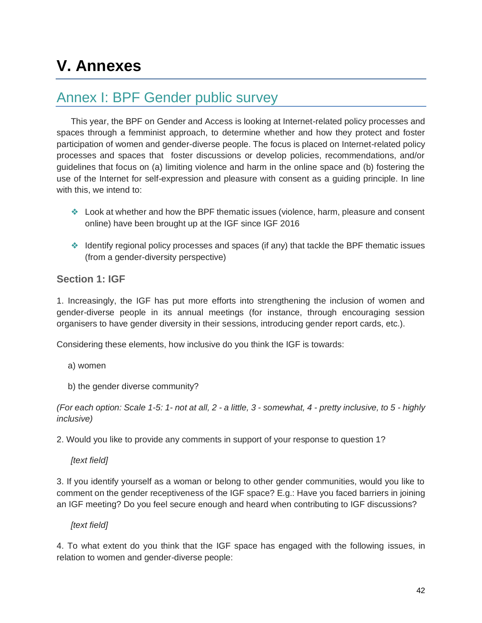## <span id="page-42-0"></span>**V. Annexes**

### <span id="page-42-1"></span>Annex I: BPF Gender public survey

This year, the BPF on Gender and Access is looking at Internet-related policy processes and spaces through a femminist approach, to determine whether and how they protect and foster participation of women and gender-diverse people. The focus is placed on Internet-related policy processes and spaces that foster discussions or develop policies, recommendations, and/or guidelines that focus on (a) limiting violence and harm in the online space and (b) fostering the use of the Internet for self-expression and pleasure with consent as a guiding principle. In line with this, we intend to:

- ❖ Look at whether and how the BPF thematic issues (violence, harm, pleasure and consent online) have been brought up at the IGF since IGF 2016
- ❖ Identify regional policy processes and spaces (if any) that tackle the BPF thematic issues (from a gender-diversity perspective)

#### **Section 1: IGF**

1. Increasingly, the IGF has put more efforts into strengthening the inclusion of women and gender-diverse people in its annual meetings (for instance, through encouraging session organisers to have gender diversity in their sessions, introducing gender report cards, etc.).

Considering these elements, how inclusive do you think the IGF is towards:

- a) women
- b) the gender diverse community?

*(For each option: Scale 1-5: 1- not at all, 2 - a little, 3 - somewhat, 4 - pretty inclusive, to 5 - highly inclusive)*

2. Would you like to provide any comments in support of your response to question 1?

*[text field]*

3. If you identify yourself as a woman or belong to other gender communities, would you like to comment on the gender receptiveness of the IGF space? E.g.: Have you faced barriers in joining an IGF meeting? Do you feel secure enough and heard when contributing to IGF discussions?

#### *[text field]*

4. To what extent do you think that the IGF space has engaged with the following issues, in relation to women and gender-diverse people: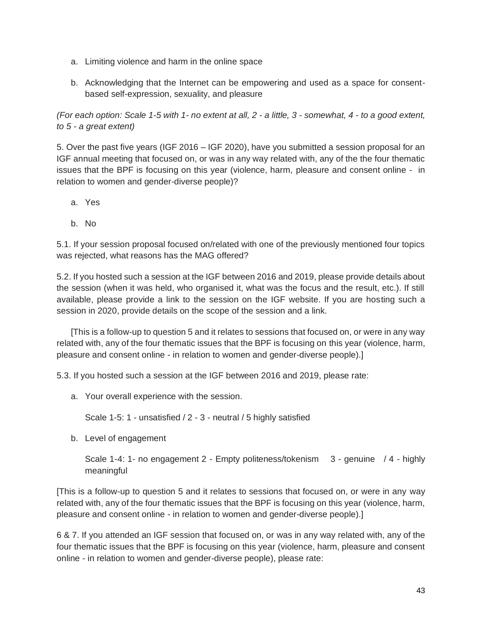- a. Limiting violence and harm in the online space
- b. Acknowledging that the Internet can be empowering and used as a space for consentbased self-expression, sexuality, and pleasure

*(For each option: Scale 1-5 with 1- no extent at all, 2 - a little, 3 - somewhat, 4 - to a good extent, to 5 - a great extent)*

5. Over the past five years (IGF 2016 – IGF 2020), have you submitted a session proposal for an IGF annual meeting that focused on, or was in any way related with, any of the the four thematic issues that the BPF is focusing on this year (violence, harm, pleasure and consent online - in relation to women and gender-diverse people)?

- a. Yes
- b. No

5.1. If your session proposal focused on/related with one of the previously mentioned four topics was rejected, what reasons has the MAG offered?

5.2. If you hosted such a session at the IGF between 2016 and 2019, please provide details about the session (when it was held, who organised it, what was the focus and the result, etc.). If still available, please provide a link to the session on the IGF website. If you are hosting such a session in 2020, provide details on the scope of the session and a link.

[This is a follow-up to question 5 and it relates to sessions that focused on, or were in any way related with, any of the four thematic issues that the BPF is focusing on this year (violence, harm, pleasure and consent online - in relation to women and gender-diverse people).]

5.3. If you hosted such a session at the IGF between 2016 and 2019, please rate:

a. Your overall experience with the session.

Scale 1-5: 1 - unsatisfied / 2 - 3 - neutral / 5 highly satisfied

b. Level of engagement

Scale 1-4: 1- no engagement 2 - Empty politeness/tokenism 3 - genuine / 4 - highly meaningful

[This is a follow-up to question 5 and it relates to sessions that focused on, or were in any way related with, any of the four thematic issues that the BPF is focusing on this year (violence, harm, pleasure and consent online - in relation to women and gender-diverse people).]

6 & 7. If you attended an IGF session that focused on, or was in any way related with, any of the four thematic issues that the BPF is focusing on this year (violence, harm, pleasure and consent online - in relation to women and gender-diverse people), please rate: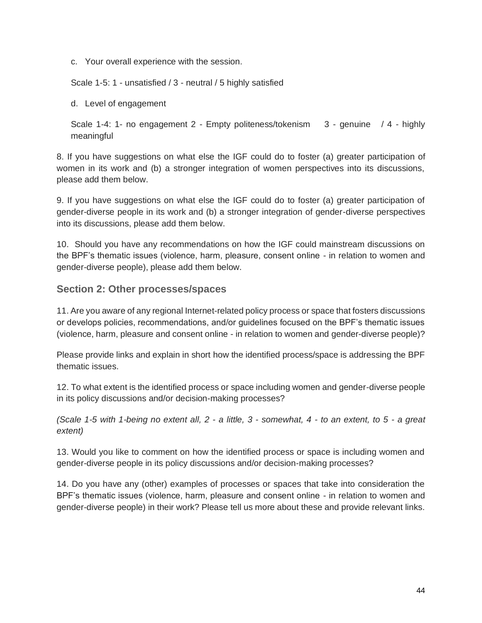c. Your overall experience with the session.

Scale 1-5: 1 - unsatisfied / 3 - neutral / 5 highly satisfied

d. Level of engagement

Scale 1-4: 1- no engagement 2 - Empty politeness/tokenism 3 - genuine / 4 - highly meaningful

8. If you have suggestions on what else the IGF could do to foster (a) greater participation of women in its work and (b) a stronger integration of women perspectives into its discussions, please add them below.

9. If you have suggestions on what else the IGF could do to foster (a) greater participation of gender-diverse people in its work and (b) a stronger integration of gender-diverse perspectives into its discussions, please add them below.

10. Should you have any recommendations on how the IGF could mainstream discussions on the BPF's thematic issues (violence, harm, pleasure, consent online - in relation to women and gender-diverse people), please add them below.

#### **Section 2: Other processes/spaces**

11. Are you aware of any regional Internet-related policy process or space that fosters discussions or develops policies, recommendations, and/or guidelines focused on the BPF's thematic issues (violence, harm, pleasure and consent online - in relation to women and gender-diverse people)?

Please provide links and explain in short how the identified process/space is addressing the BPF thematic issues.

12. To what extent is the identified process or space including women and gender-diverse people in its policy discussions and/or decision-making processes?

*(Scale 1-5 with 1-being no extent all, 2 - a little, 3 - somewhat, 4 - to an extent, to 5 - a great extent)*

13. Would you like to comment on how the identified process or space is including women and gender-diverse people in its policy discussions and/or decision-making processes?

14. Do you have any (other) examples of processes or spaces that take into consideration the BPF's thematic issues (violence, harm, pleasure and consent online - in relation to women and gender-diverse people) in their work? Please tell us more about these and provide relevant links.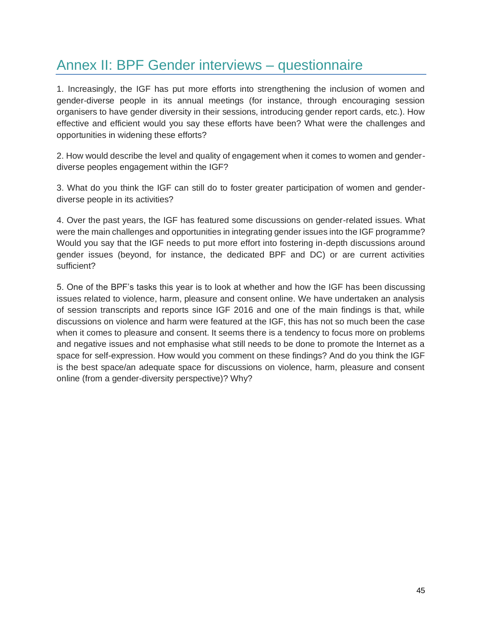## <span id="page-45-0"></span>Annex II: BPF Gender interviews – questionnaire

1. Increasingly, the IGF has put more efforts into strengthening the inclusion of women and gender-diverse people in its annual meetings (for instance, through encouraging session organisers to have gender diversity in their sessions, introducing gender report cards, etc.). How effective and efficient would you say these efforts have been? What were the challenges and opportunities in widening these efforts?

2. How would describe the level and quality of engagement when it comes to women and genderdiverse peoples engagement within the IGF?

3. What do you think the IGF can still do to foster greater participation of women and genderdiverse people in its activities?

4. Over the past years, the IGF has featured some discussions on gender-related issues. What were the main challenges and opportunities in integrating gender issues into the IGF programme? Would you say that the IGF needs to put more effort into fostering in-depth discussions around gender issues (beyond, for instance, the dedicated BPF and DC) or are current activities sufficient?

5. One of the BPF's tasks this year is to look at whether and how the IGF has been discussing issues related to violence, harm, pleasure and consent online. We have undertaken an analysis of session transcripts and reports since IGF 2016 and one of the main findings is that, while discussions on violence and harm were featured at the IGF, this has not so much been the case when it comes to pleasure and consent. It seems there is a tendency to focus more on problems and negative issues and not emphasise what still needs to be done to promote the Internet as a space for self-expression. How would you comment on these findings? And do you think the IGF is the best space/an adequate space for discussions on violence, harm, pleasure and consent online (from a gender-diversity perspective)? Why?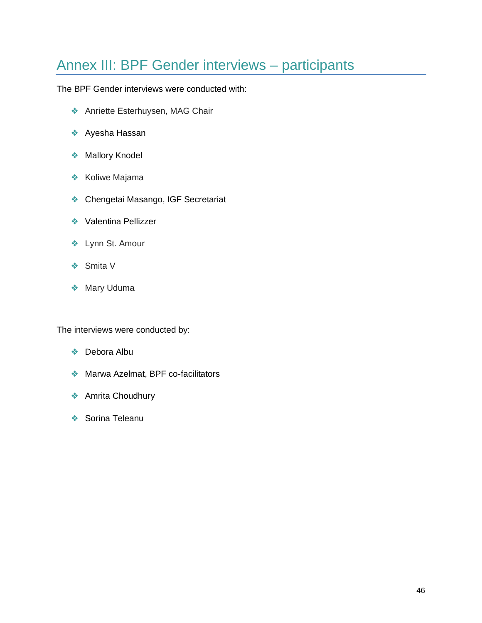## <span id="page-46-0"></span>Annex III: BPF Gender interviews – participants

The BPF Gender interviews were conducted with:

- ❖ Anriette Esterhuysen, MAG Chair
- ❖ Ayesha Hassan
- ❖ Mallory Knodel
- ❖ Koliwe Majama
- ❖ Chengetai Masango, IGF Secretariat
- ❖ Valentina Pellizzer
- ❖ Lynn St. Amour
- ❖ Smita V
- ❖ Mary Uduma

The interviews were conducted by:

- ❖ Debora Albu
- ❖ Marwa Azelmat, BPF co-facilitators
- ❖ Amrita Choudhury
- ❖ Sorina Teleanu